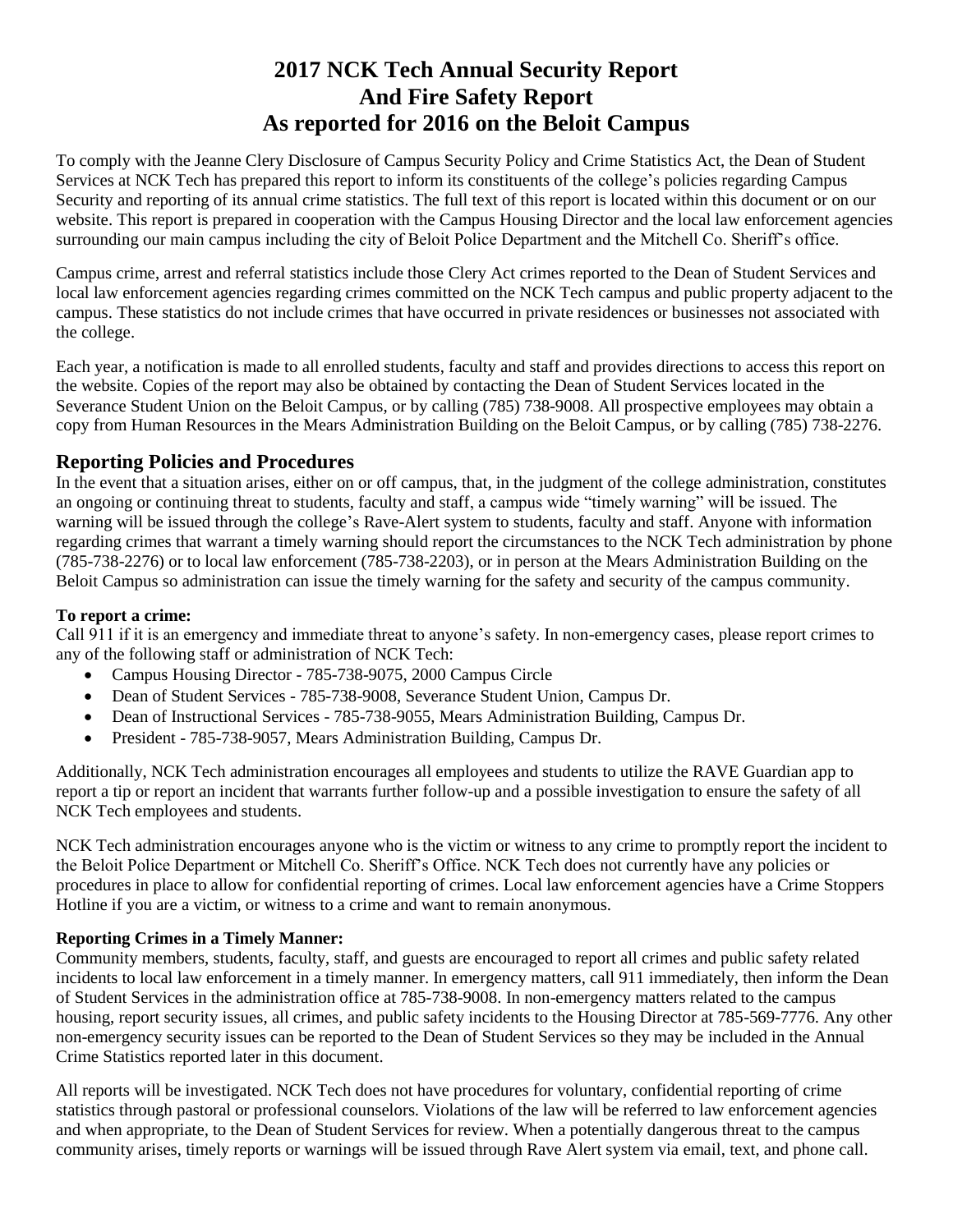# **2017 NCK Tech Annual Security Report And Fire Safety Report As reported for 2016 on the Beloit Campus**

To comply with the Jeanne Clery Disclosure of Campus Security Policy and Crime Statistics Act, the Dean of Student Services at NCK Tech has prepared this report to inform its constituents of the college's policies regarding Campus Security and reporting of its annual crime statistics. The full text of this report is located within this document or on our website. This report is prepared in cooperation with the Campus Housing Director and the local law enforcement agencies surrounding our main campus including the city of Beloit Police Department and the Mitchell Co. Sheriff's office.

Campus crime, arrest and referral statistics include those Clery Act crimes reported to the Dean of Student Services and local law enforcement agencies regarding crimes committed on the NCK Tech campus and public property adjacent to the campus. These statistics do not include crimes that have occurred in private residences or businesses not associated with the college.

Each year, a notification is made to all enrolled students, faculty and staff and provides directions to access this report on the website. Copies of the report may also be obtained by contacting the Dean of Student Services located in the Severance Student Union on the Beloit Campus, or by calling (785) 738-9008. All prospective employees may obtain a copy from Human Resources in the Mears Administration Building on the Beloit Campus, or by calling (785) 738-2276.

## **Reporting Policies and Procedures**

In the event that a situation arises, either on or off campus, that, in the judgment of the college administration, constitutes an ongoing or continuing threat to students, faculty and staff, a campus wide "timely warning" will be issued. The warning will be issued through the college's Rave-Alert system to students, faculty and staff. Anyone with information regarding crimes that warrant a timely warning should report the circumstances to the NCK Tech administration by phone (785-738-2276) or to local law enforcement (785-738-2203), or in person at the Mears Administration Building on the Beloit Campus so administration can issue the timely warning for the safety and security of the campus community.

### **To report a crime:**

Call 911 if it is an emergency and immediate threat to anyone's safety. In non-emergency cases, please report crimes to any of the following staff or administration of NCK Tech:

- Campus Housing Director 785-738-9075, 2000 Campus Circle
- Dean of Student Services 785-738-9008, Severance Student Union, Campus Dr.
- Dean of Instructional Services 785-738-9055, Mears Administration Building, Campus Dr.
- President 785-738-9057, Mears Administration Building, Campus Dr.

Additionally, NCK Tech administration encourages all employees and students to utilize the RAVE Guardian app to report a tip or report an incident that warrants further follow-up and a possible investigation to ensure the safety of all NCK Tech employees and students.

NCK Tech administration encourages anyone who is the victim or witness to any crime to promptly report the incident to the Beloit Police Department or Mitchell Co. Sheriff's Office. NCK Tech does not currently have any policies or procedures in place to allow for confidential reporting of crimes. Local law enforcement agencies have a Crime Stoppers Hotline if you are a victim, or witness to a crime and want to remain anonymous.

### **Reporting Crimes in a Timely Manner:**

Community members, students, faculty, staff, and guests are encouraged to report all crimes and public safety related incidents to local law enforcement in a timely manner. In emergency matters, call 911 immediately, then inform the Dean of Student Services in the administration office at 785-738-9008. In non-emergency matters related to the campus housing, report security issues, all crimes, and public safety incidents to the Housing Director at 785-569-7776. Any other non-emergency security issues can be reported to the Dean of Student Services so they may be included in the Annual Crime Statistics reported later in this document.

All reports will be investigated. NCK Tech does not have procedures for voluntary, confidential reporting of crime statistics through pastoral or professional counselors. Violations of the law will be referred to law enforcement agencies and when appropriate, to the Dean of Student Services for review. When a potentially dangerous threat to the campus community arises, timely reports or warnings will be issued through Rave Alert system via email, text, and phone call.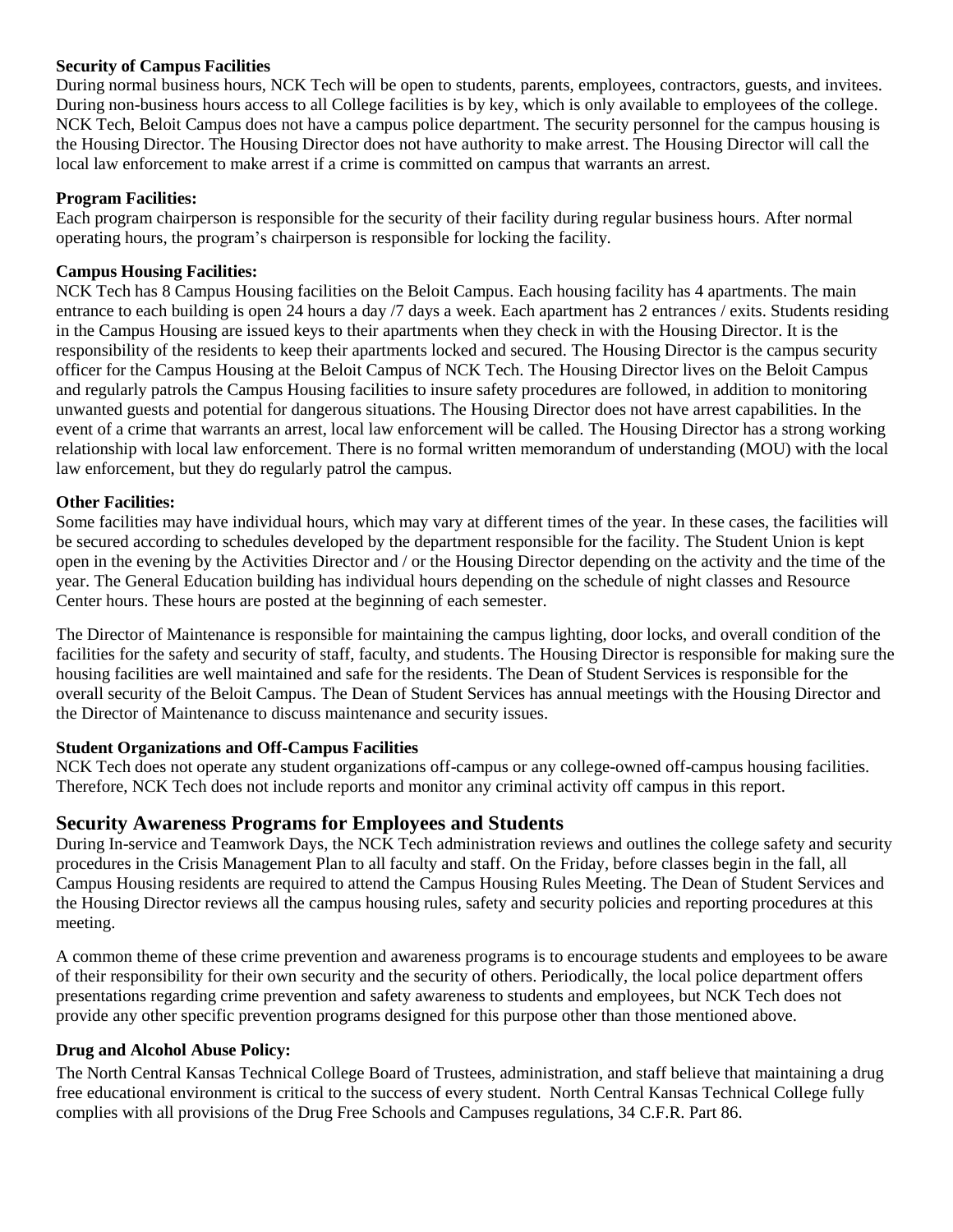#### **Security of Campus Facilities**

During normal business hours, NCK Tech will be open to students, parents, employees, contractors, guests, and invitees. During non-business hours access to all College facilities is by key, which is only available to employees of the college. NCK Tech, Beloit Campus does not have a campus police department. The security personnel for the campus housing is the Housing Director. The Housing Director does not have authority to make arrest. The Housing Director will call the local law enforcement to make arrest if a crime is committed on campus that warrants an arrest.

#### **Program Facilities:**

Each program chairperson is responsible for the security of their facility during regular business hours. After normal operating hours, the program's chairperson is responsible for locking the facility.

#### **Campus Housing Facilities:**

NCK Tech has 8 Campus Housing facilities on the Beloit Campus. Each housing facility has 4 apartments. The main entrance to each building is open 24 hours a day /7 days a week. Each apartment has 2 entrances / exits. Students residing in the Campus Housing are issued keys to their apartments when they check in with the Housing Director. It is the responsibility of the residents to keep their apartments locked and secured. The Housing Director is the campus security officer for the Campus Housing at the Beloit Campus of NCK Tech. The Housing Director lives on the Beloit Campus and regularly patrols the Campus Housing facilities to insure safety procedures are followed, in addition to monitoring unwanted guests and potential for dangerous situations. The Housing Director does not have arrest capabilities. In the event of a crime that warrants an arrest, local law enforcement will be called. The Housing Director has a strong working relationship with local law enforcement. There is no formal written memorandum of understanding (MOU) with the local law enforcement, but they do regularly patrol the campus.

#### **Other Facilities:**

Some facilities may have individual hours, which may vary at different times of the year. In these cases, the facilities will be secured according to schedules developed by the department responsible for the facility. The Student Union is kept open in the evening by the Activities Director and / or the Housing Director depending on the activity and the time of the year. The General Education building has individual hours depending on the schedule of night classes and Resource Center hours. These hours are posted at the beginning of each semester.

The Director of Maintenance is responsible for maintaining the campus lighting, door locks, and overall condition of the facilities for the safety and security of staff, faculty, and students. The Housing Director is responsible for making sure the housing facilities are well maintained and safe for the residents. The Dean of Student Services is responsible for the overall security of the Beloit Campus. The Dean of Student Services has annual meetings with the Housing Director and the Director of Maintenance to discuss maintenance and security issues.

#### **Student Organizations and Off-Campus Facilities**

NCK Tech does not operate any student organizations off-campus or any college-owned off-campus housing facilities. Therefore, NCK Tech does not include reports and monitor any criminal activity off campus in this report.

### **Security Awareness Programs for Employees and Students**

During In-service and Teamwork Days, the NCK Tech administration reviews and outlines the college safety and security procedures in the Crisis Management Plan to all faculty and staff. On the Friday, before classes begin in the fall, all Campus Housing residents are required to attend the Campus Housing Rules Meeting. The Dean of Student Services and the Housing Director reviews all the campus housing rules, safety and security policies and reporting procedures at this meeting.

A common theme of these crime prevention and awareness programs is to encourage students and employees to be aware of their responsibility for their own security and the security of others. Periodically, the local police department offers presentations regarding crime prevention and safety awareness to students and employees, but NCK Tech does not provide any other specific prevention programs designed for this purpose other than those mentioned above.

#### **Drug and Alcohol Abuse Policy:**

The North Central Kansas Technical College Board of Trustees, administration, and staff believe that maintaining a drug free educational environment is critical to the success of every student. North Central Kansas Technical College fully complies with all provisions of the Drug Free Schools and Campuses regulations, 34 C.F.R. Part 86.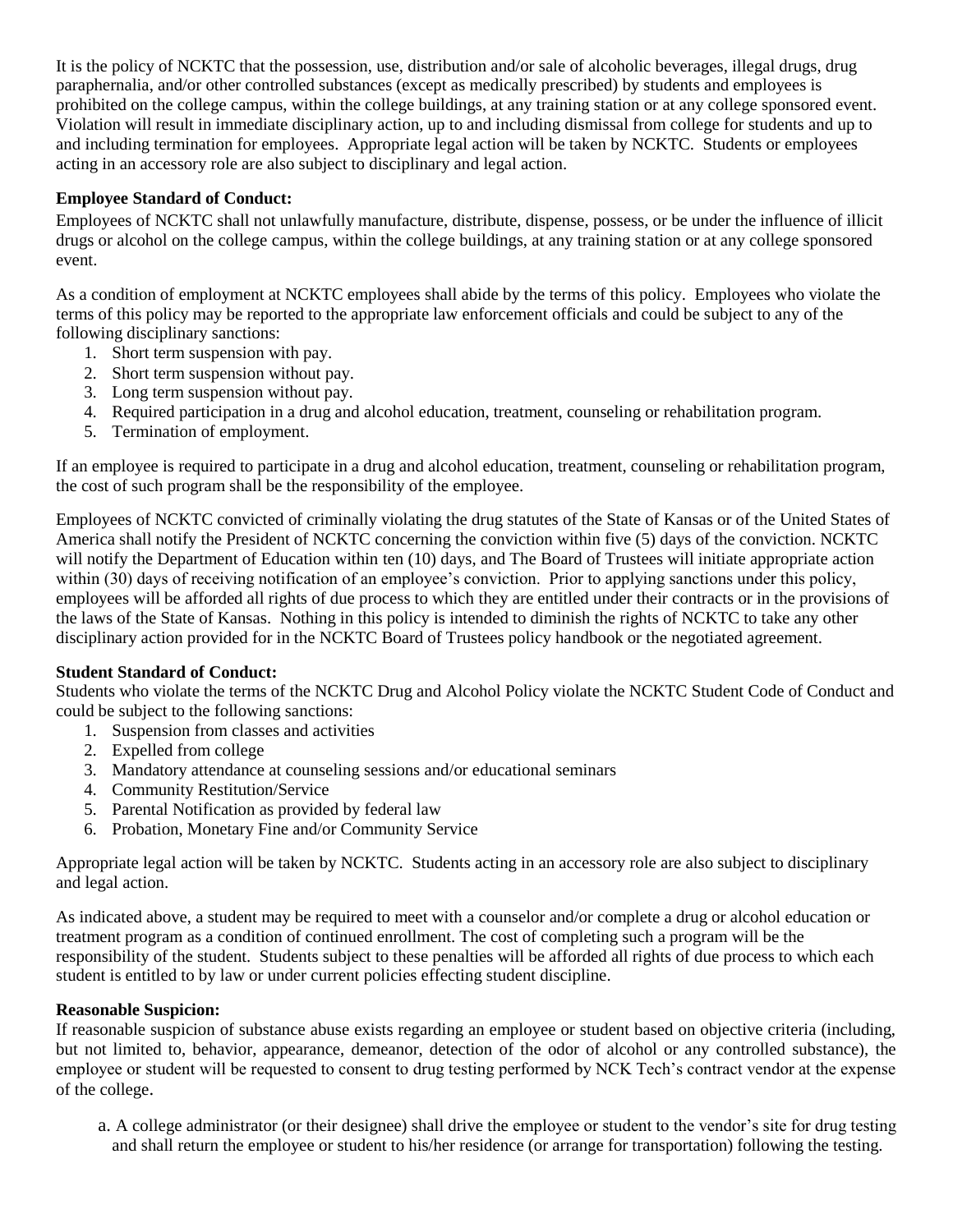It is the policy of NCKTC that the possession, use, distribution and/or sale of alcoholic beverages, illegal drugs, drug paraphernalia, and/or other controlled substances (except as medically prescribed) by students and employees is prohibited on the college campus, within the college buildings, at any training station or at any college sponsored event. Violation will result in immediate disciplinary action, up to and including dismissal from college for students and up to and including termination for employees. Appropriate legal action will be taken by NCKTC. Students or employees acting in an accessory role are also subject to disciplinary and legal action.

### **Employee Standard of Conduct:**

Employees of NCKTC shall not unlawfully manufacture, distribute, dispense, possess, or be under the influence of illicit drugs or alcohol on the college campus, within the college buildings, at any training station or at any college sponsored event.

As a condition of employment at NCKTC employees shall abide by the terms of this policy. Employees who violate the terms of this policy may be reported to the appropriate law enforcement officials and could be subject to any of the following disciplinary sanctions:

- 1. Short term suspension with pay.
- 2. Short term suspension without pay.
- 3. Long term suspension without pay.
- 4. Required participation in a drug and alcohol education, treatment, counseling or rehabilitation program.
- 5. Termination of employment.

If an employee is required to participate in a drug and alcohol education, treatment, counseling or rehabilitation program, the cost of such program shall be the responsibility of the employee.

Employees of NCKTC convicted of criminally violating the drug statutes of the State of Kansas or of the United States of America shall notify the President of NCKTC concerning the conviction within five (5) days of the conviction. NCKTC will notify the Department of Education within ten (10) days, and The Board of Trustees will initiate appropriate action within (30) days of receiving notification of an employee's conviction. Prior to applying sanctions under this policy, employees will be afforded all rights of due process to which they are entitled under their contracts or in the provisions of the laws of the State of Kansas. Nothing in this policy is intended to diminish the rights of NCKTC to take any other disciplinary action provided for in the NCKTC Board of Trustees policy handbook or the negotiated agreement.

### **Student Standard of Conduct:**

Students who violate the terms of the NCKTC Drug and Alcohol Policy violate the NCKTC Student Code of Conduct and could be subject to the following sanctions:

- 1. Suspension from classes and activities
- 2. Expelled from college
- 3. Mandatory attendance at counseling sessions and/or educational seminars
- 4. Community Restitution/Service
- 5. Parental Notification as provided by federal law
- 6. Probation, Monetary Fine and/or Community Service

Appropriate legal action will be taken by NCKTC. Students acting in an accessory role are also subject to disciplinary and legal action.

As indicated above, a student may be required to meet with a counselor and/or complete a drug or alcohol education or treatment program as a condition of continued enrollment. The cost of completing such a program will be the responsibility of the student. Students subject to these penalties will be afforded all rights of due process to which each student is entitled to by law or under current policies effecting student discipline.

#### **Reasonable Suspicion:**

If reasonable suspicion of substance abuse exists regarding an employee or student based on objective criteria (including, but not limited to, behavior, appearance, demeanor, detection of the odor of alcohol or any controlled substance), the employee or student will be requested to consent to drug testing performed by NCK Tech's contract vendor at the expense of the college.

a. A college administrator (or their designee) shall drive the employee or student to the vendor's site for drug testing and shall return the employee or student to his/her residence (or arrange for transportation) following the testing.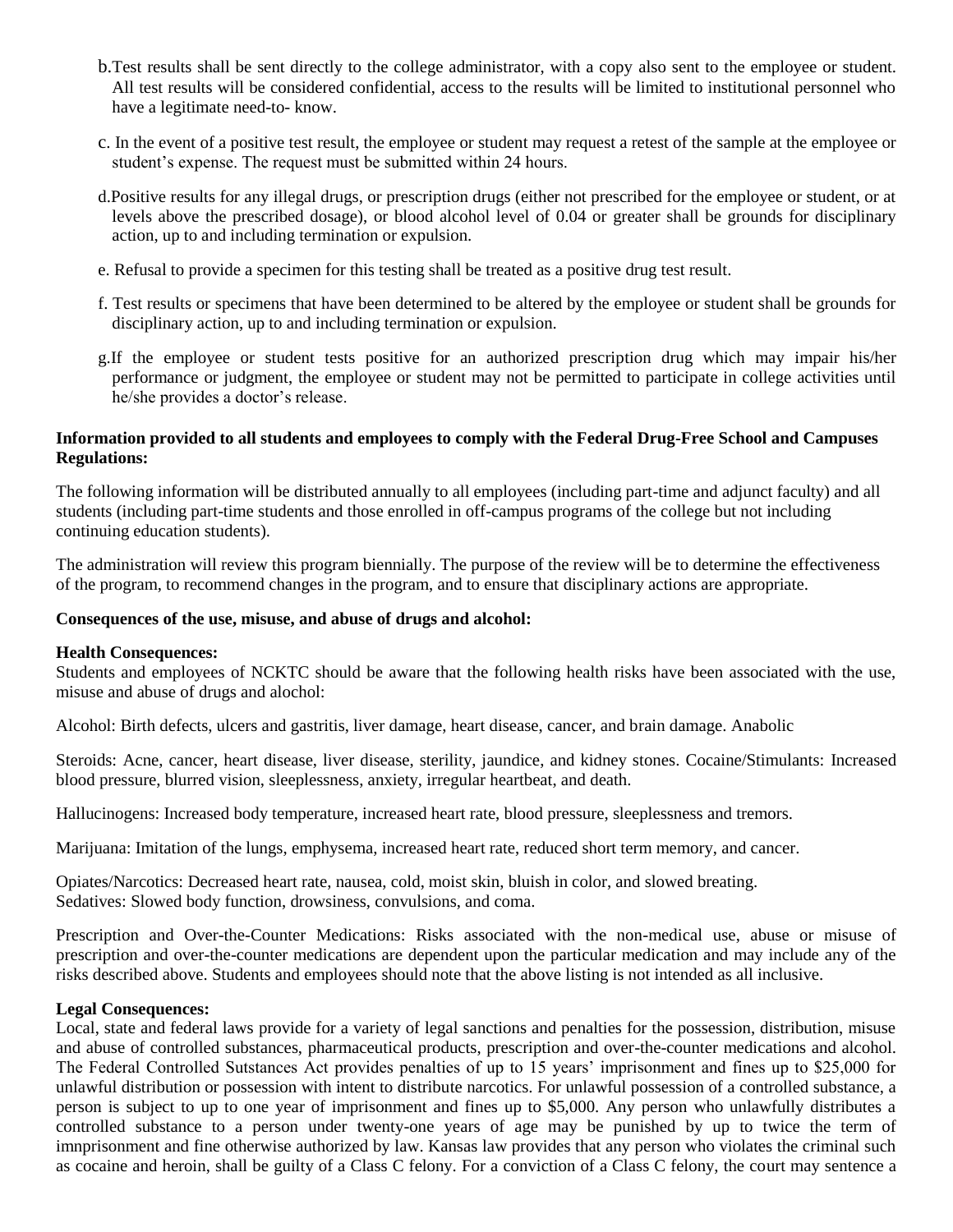- b.Test results shall be sent directly to the college administrator, with a copy also sent to the employee or student. All test results will be considered confidential, access to the results will be limited to institutional personnel who have a legitimate need-to- know.
- c. In the event of a positive test result, the employee or student may request a retest of the sample at the employee or student's expense. The request must be submitted within 24 hours.
- d.Positive results for any illegal drugs, or prescription drugs (either not prescribed for the employee or student, or at levels above the prescribed dosage), or blood alcohol level of 0.04 or greater shall be grounds for disciplinary action, up to and including termination or expulsion.
- e. Refusal to provide a specimen for this testing shall be treated as a positive drug test result.
- f. Test results or specimens that have been determined to be altered by the employee or student shall be grounds for disciplinary action, up to and including termination or expulsion.
- g.If the employee or student tests positive for an authorized prescription drug which may impair his/her performance or judgment, the employee or student may not be permitted to participate in college activities until he/she provides a doctor's release.

#### **Information provided to all students and employees to comply with the Federal Drug-Free School and Campuses Regulations:**

The following information will be distributed annually to all employees (including part-time and adjunct faculty) and all students (including part-time students and those enrolled in off-campus programs of the college but not including continuing education students).

The administration will review this program biennially. The purpose of the review will be to determine the effectiveness of the program, to recommend changes in the program, and to ensure that disciplinary actions are appropriate.

#### **Consequences of the use, misuse, and abuse of drugs and alcohol:**

#### **Health Consequences:**

Students and employees of NCKTC should be aware that the following health risks have been associated with the use, misuse and abuse of drugs and alochol:

Alcohol: Birth defects, ulcers and gastritis, liver damage, heart disease, cancer, and brain damage. Anabolic

Steroids: Acne, cancer, heart disease, liver disease, sterility, jaundice, and kidney stones. Cocaine/Stimulants: Increased blood pressure, blurred vision, sleeplessness, anxiety, irregular heartbeat, and death.

Hallucinogens: Increased body temperature, increased heart rate, blood pressure, sleeplessness and tremors.

Marijuana: Imitation of the lungs, emphysema, increased heart rate, reduced short term memory, and cancer.

Opiates/Narcotics: Decreased heart rate, nausea, cold, moist skin, bluish in color, and slowed breating. Sedatives: Slowed body function, drowsiness, convulsions, and coma.

Prescription and Over-the-Counter Medications: Risks associated with the non-medical use, abuse or misuse of prescription and over-the-counter medications are dependent upon the particular medication and may include any of the risks described above. Students and employees should note that the above listing is not intended as all inclusive.

#### **Legal Consequences:**

Local, state and federal laws provide for a variety of legal sanctions and penalties for the possession, distribution, misuse and abuse of controlled substances, pharmaceutical products, prescription and over-the-counter medications and alcohol. The Federal Controlled Sutstances Act provides penalties of up to 15 years' imprisonment and fines up to \$25,000 for unlawful distribution or possession with intent to distribute narcotics. For unlawful possession of a controlled substance, a person is subject to up to one year of imprisonment and fines up to \$5,000. Any person who unlawfully distributes a controlled substance to a person under twenty-one years of age may be punished by up to twice the term of imnprisonment and fine otherwise authorized by law. Kansas law provides that any person who violates the criminal such as cocaine and heroin, shall be guilty of a Class C felony. For a conviction of a Class C felony, the court may sentence a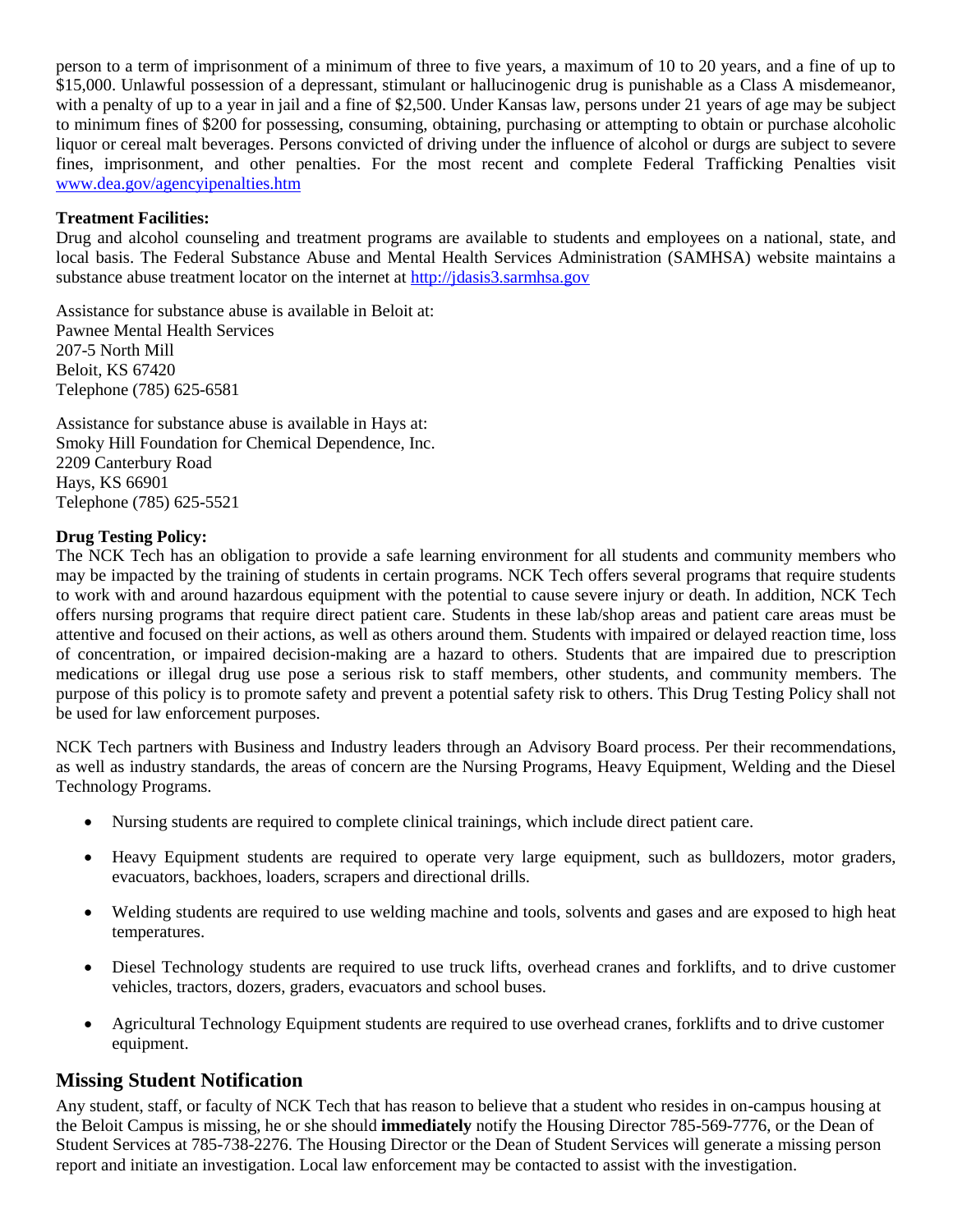person to a term of imprisonment of a minimum of three to five years, a maximum of 10 to 20 years, and a fine of up to \$15,000. Unlawful possession of a depressant, stimulant or hallucinogenic drug is punishable as a Class A misdemeanor, with a penalty of up to a year in jail and a fine of \$2,500. Under Kansas law, persons under 21 years of age may be subject to minimum fines of \$200 for possessing, consuming, obtaining, purchasing or attempting to obtain or purchase alcoholic liquor or cereal malt beverages. Persons convicted of driving under the influence of alcohol or durgs are subject to severe fines, imprisonment, and other penalties. For the most recent and complete Federal Trafficking Penalties visit [www.dea.gov/agencyipenalties.htm](http://www.dea.gov/agencyipenalties.htm)

#### **Treatment Facilities:**

Drug and alcohol counseling and treatment programs are available to students and employees on a national, state, and local basis. The Federal Substance Abuse and Mental Health Services Administration (SAMHSA) website maintains a substance abuse treatment locator on the internet at [http://jdasis3.sarmhsa.gov](http://jdasis3.sarmhsa.gov/)

Assistance for substance abuse is available in Beloit at: Pawnee Mental Health Services 207-5 North Mill Beloit, KS 67420 Telephone (785) 625-6581

Assistance for substance abuse is available in Hays at: Smoky Hill Foundation for Chemical Dependence, Inc. 2209 Canterbury Road Hays, KS 66901 Telephone (785) 625-5521

#### **Drug Testing Policy:**

The NCK Tech has an obligation to provide a safe learning environment for all students and community members who may be impacted by the training of students in certain programs. NCK Tech offers several programs that require students to work with and around hazardous equipment with the potential to cause severe injury or death. In addition, NCK Tech offers nursing programs that require direct patient care. Students in these lab/shop areas and patient care areas must be attentive and focused on their actions, as well as others around them. Students with impaired or delayed reaction time, loss of concentration, or impaired decision-making are a hazard to others. Students that are impaired due to prescription medications or illegal drug use pose a serious risk to staff members, other students, and community members. The purpose of this policy is to promote safety and prevent a potential safety risk to others. This Drug Testing Policy shall not be used for law enforcement purposes.

NCK Tech partners with Business and Industry leaders through an Advisory Board process. Per their recommendations, as well as industry standards, the areas of concern are the Nursing Programs, Heavy Equipment, Welding and the Diesel Technology Programs.

- Nursing students are required to complete clinical trainings, which include direct patient care.
- Heavy Equipment students are required to operate very large equipment, such as bulldozers, motor graders, evacuators, backhoes, loaders, scrapers and directional drills.
- Welding students are required to use welding machine and tools, solvents and gases and are exposed to high heat temperatures.
- Diesel Technology students are required to use truck lifts, overhead cranes and forklifts, and to drive customer vehicles, tractors, dozers, graders, evacuators and school buses.
- Agricultural Technology Equipment students are required to use overhead cranes, forklifts and to drive customer equipment.

## **Missing Student Notification**

Any student, staff, or faculty of NCK Tech that has reason to believe that a student who resides in on-campus housing at the Beloit Campus is missing, he or she should **immediately** notify the Housing Director 785-569-7776, or the Dean of Student Services at 785-738-2276. The Housing Director or the Dean of Student Services will generate a missing person report and initiate an investigation. Local law enforcement may be contacted to assist with the investigation.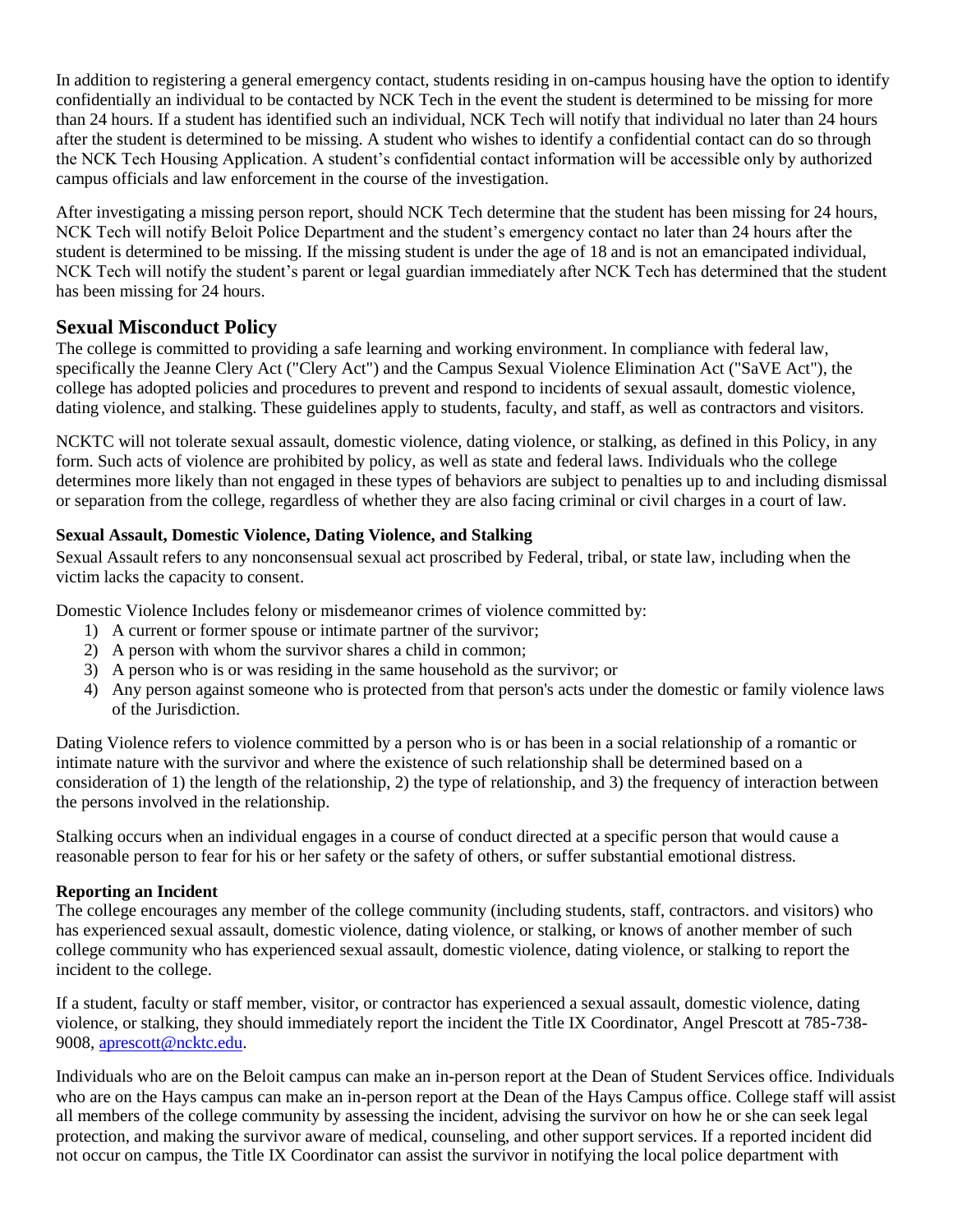In addition to registering a general emergency contact, students residing in on-campus housing have the option to identify confidentially an individual to be contacted by NCK Tech in the event the student is determined to be missing for more than 24 hours. If a student has identified such an individual, NCK Tech will notify that individual no later than 24 hours after the student is determined to be missing. A student who wishes to identify a confidential contact can do so through the NCK Tech Housing Application. A student's confidential contact information will be accessible only by authorized campus officials and law enforcement in the course of the investigation.

After investigating a missing person report, should NCK Tech determine that the student has been missing for 24 hours, NCK Tech will notify Beloit Police Department and the student's emergency contact no later than 24 hours after the student is determined to be missing. If the missing student is under the age of 18 and is not an emancipated individual, NCK Tech will notify the student's parent or legal guardian immediately after NCK Tech has determined that the student has been missing for 24 hours.

## **Sexual Misconduct Policy**

The college is committed to providing a safe learning and working environment. In compliance with federal law, specifically the Jeanne Clery Act ("Clery Act") and the Campus Sexual Violence Elimination Act ("SaVE Act"), the college has adopted policies and procedures to prevent and respond to incidents of sexual assault, domestic violence, dating violence, and stalking. These guidelines apply to students, faculty, and staff, as well as contractors and visitors.

NCKTC will not tolerate sexual assault, domestic violence, dating violence, or stalking, as defined in this Policy, in any form. Such acts of violence are prohibited by policy, as well as state and federal laws. Individuals who the college determines more likely than not engaged in these types of behaviors are subject to penalties up to and including dismissal or separation from the college, regardless of whether they are also facing criminal or civil charges in a court of law.

## **Sexual Assault, Domestic Violence, Dating Violence, and Stalking**

Sexual Assault refers to any nonconsensual sexual act proscribed by Federal, tribal, or state law, including when the victim lacks the capacity to consent.

Domestic Violence Includes felony or misdemeanor crimes of violence committed by:

- 1) A current or former spouse or intimate partner of the survivor;
- 2) A person with whom the survivor shares a child in common;
- 3) A person who is or was residing in the same household as the survivor; or
- 4) Any person against someone who is protected from that person's acts under the domestic or family violence laws of the Jurisdiction.

Dating Violence refers to violence committed by a person who is or has been in a social relationship of a romantic or intimate nature with the survivor and where the existence of such relationship shall be determined based on a consideration of 1) the length of the relationship, 2) the type of relationship, and 3) the frequency of interaction between the persons involved in the relationship.

Stalking occurs when an individual engages in a course of conduct directed at a specific person that would cause a reasonable person to fear for his or her safety or the safety of others, or suffer substantial emotional distress.

### **Reporting an Incident**

The college encourages any member of the college community (including students, staff, contractors. and visitors) who has experienced sexual assault, domestic violence, dating violence, or stalking, or knows of another member of such college community who has experienced sexual assault, domestic violence, dating violence, or stalking to report the incident to the college.

If a student, faculty or staff member, visitor, or contractor has experienced a sexual assault, domestic violence, dating violence, or stalking, they should immediately report the incident the Title IX Coordinator, Angel Prescott at 785-738- 9008, [aprescott@ncktc.edu.](mailto:aprescott@ncktc.edu)

Individuals who are on the Beloit campus can make an in-person report at the Dean of Student Services office. Individuals who are on the Hays campus can make an in-person report at the Dean of the Hays Campus office. College staff will assist all members of the college community by assessing the incident, advising the survivor on how he or she can seek legal protection, and making the survivor aware of medical, counseling, and other support services. If a reported incident did not occur on campus, the Title IX Coordinator can assist the survivor in notifying the local police department with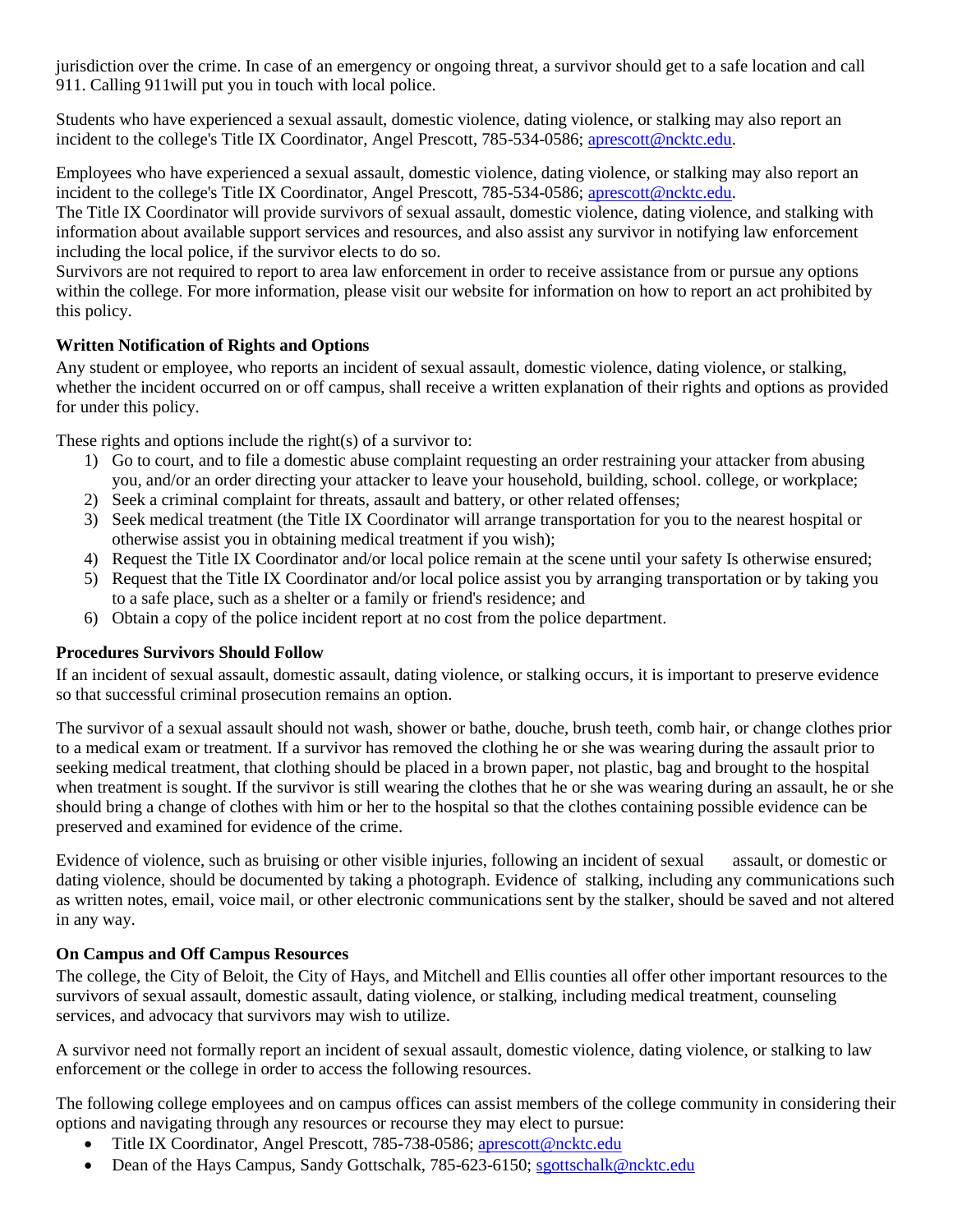jurisdiction over the crime. In case of an emergency or ongoing threat, a survivor should get to a safe location and call 911. Calling 911will put you in touch with local police.

Students who have experienced a sexual assault, domestic violence, dating violence, or stalking may also report an incident to the college's Title IX Coordinator, Angel Prescott, 785-534-0586[; aprescott@ncktc.edu.](mailto:aprescott@ncktc.edu)

Employees who have experienced a sexual assault, domestic violence, dating violence, or stalking may also report an incident to the college's Title IX Coordinator, Angel Prescott, 785-534-0586[; aprescott@ncktc.edu.](mailto:aprescott@ncktc.edu)

The Title IX Coordinator will provide survivors of sexual assault, domestic violence, dating violence, and stalking with information about available support services and resources, and also assist any survivor in notifying law enforcement including the local police, if the survivor elects to do so.

Survivors are not required to report to area law enforcement in order to receive assistance from or pursue any options within the college. For more information, please visit our website for information on how to report an act prohibited by this policy.

## **Written Notification of Rights and Options**

Any student or employee, who reports an incident of sexual assault, domestic violence, dating violence, or stalking, whether the incident occurred on or off campus, shall receive a written explanation of their rights and options as provided for under this policy.

These rights and options include the right(s) of a survivor to:

- 1) Go to court, and to file a domestic abuse complaint requesting an order restraining your attacker from abusing you, and/or an order directing your attacker to leave your household, building, school. college, or workplace;
- 2) Seek a criminal complaint for threats, assault and battery, or other related offenses;
- 3) Seek medical treatment (the Title IX Coordinator will arrange transportation for you to the nearest hospital or otherwise assist you in obtaining medical treatment if you wish);
- 4) Request the Title IX Coordinator and/or local police remain at the scene until your safety Is otherwise ensured;
- 5) Request that the Title IX Coordinator and/or local police assist you by arranging transportation or by taking you to a safe place, such as a shelter or a family or friend's residence; and
- 6) Obtain a copy of the police incident report at no cost from the police department.

### **Procedures Survivors Should Follow**

If an incident of sexual assault, domestic assault, dating violence, or stalking occurs, it is important to preserve evidence so that successful criminal prosecution remains an option.

The survivor of a sexual assault should not wash, shower or bathe, douche, brush teeth, comb hair, or change clothes prior to a medical exam or treatment. If a survivor has removed the clothing he or she was wearing during the assault prior to seeking medical treatment, that clothing should be placed in a brown paper, not plastic, bag and brought to the hospital when treatment is sought. If the survivor is still wearing the clothes that he or she was wearing during an assault, he or she should bring a change of clothes with him or her to the hospital so that the clothes containing possible evidence can be preserved and examined for evidence of the crime.

Evidence of violence, such as bruising or other visible injuries, following an incident of sexual assault, or domestic or dating violence, should be documented by taking a photograph. Evidence of stalking, including any communications such as written notes, email, voice mail, or other electronic communications sent by the stalker, should be saved and not altered in any way.

### **On Campus and Off Campus Resources**

The college, the City of Beloit, the City of Hays, and Mitchell and Ellis counties all offer other important resources to the survivors of sexual assault, domestic assault, dating violence, or stalking, including medical treatment, counseling services, and advocacy that survivors may wish to utilize.

A survivor need not formally report an incident of sexual assault, domestic violence, dating violence, or stalking to law enforcement or the college in order to access the following resources.

The following college employees and on campus offices can assist members of the college community in considering their options and navigating through any resources or recourse they may elect to pursue:

- Title IX Coordinator, Angel Prescott, 785-738-0586; [aprescott@ncktc.edu](mailto:aprescott@ncktc.edu)
- Dean of the Hays Campus, Sandy Gottschalk, 785-623-6150; [sgottschalk@ncktc.edu](mailto:sgottschalk@ncktc.edu)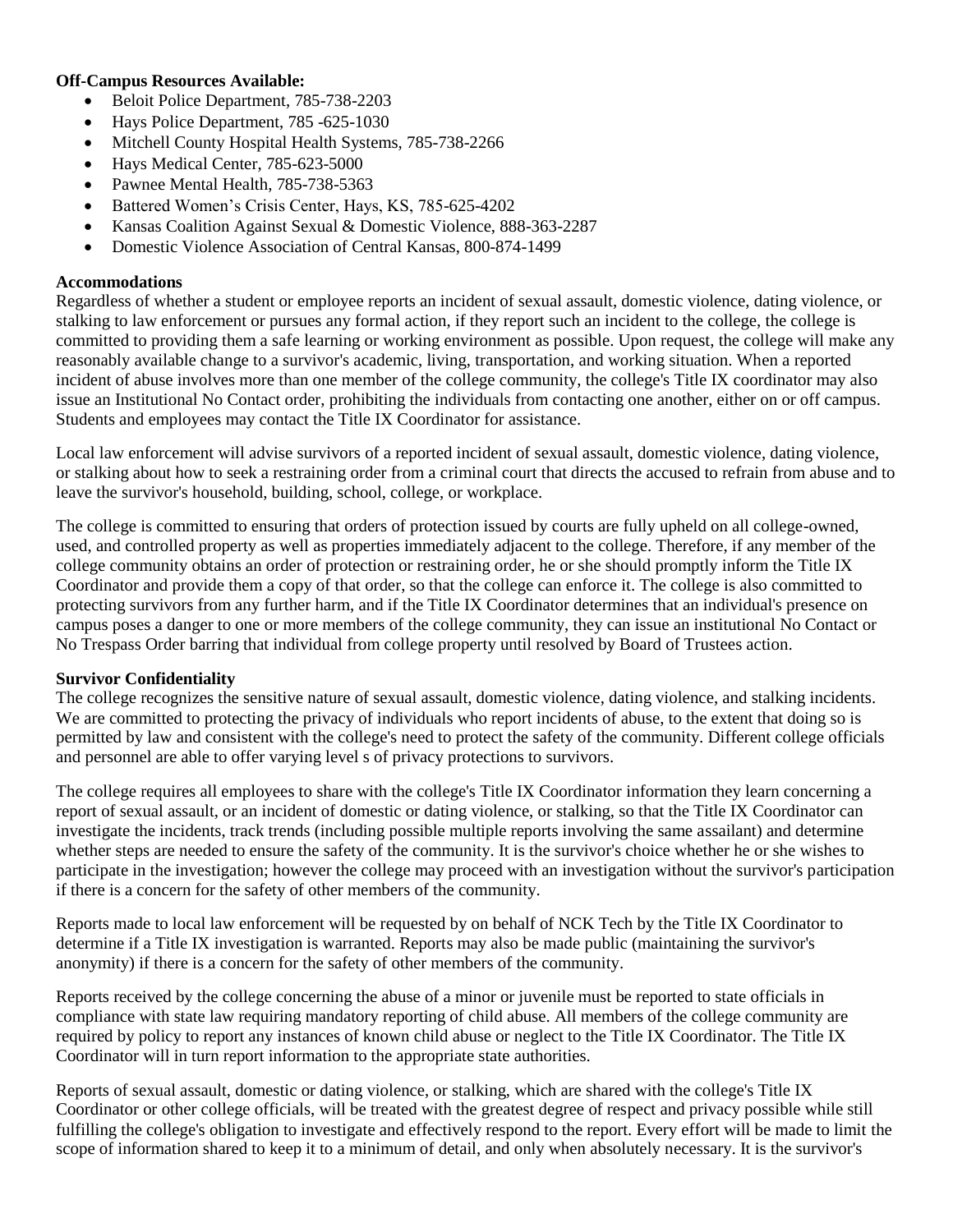#### **Off-Campus Resources Available:**

- Beloit Police Department, 785-738-2203
- Hays Police Department, 785 -625-1030
- Mitchell County Hospital Health Systems, 785-738-2266
- Hays Medical Center, 785-623-5000
- Pawnee Mental Health, 785-738-5363
- Battered Women's Crisis Center, Hays, KS, 785-625-4202
- Kansas Coalition Against Sexual & Domestic Violence, 888-363-2287
- Domestic Violence Association of Central Kansas, 800-874-1499

#### **Accommodations**

Regardless of whether a student or employee reports an incident of sexual assault, domestic violence, dating violence, or stalking to law enforcement or pursues any formal action, if they report such an incident to the college, the college is committed to providing them a safe learning or working environment as possible. Upon request, the college will make any reasonably available change to a survivor's academic, living, transportation, and working situation. When a reported incident of abuse involves more than one member of the college community, the college's Title IX coordinator may also issue an Institutional No Contact order, prohibiting the individuals from contacting one another, either on or off campus. Students and employees may contact the Title IX Coordinator for assistance.

Local law enforcement will advise survivors of a reported incident of sexual assault, domestic violence, dating violence, or stalking about how to seek a restraining order from a criminal court that directs the accused to refrain from abuse and to leave the survivor's household, building, school, college, or workplace.

The college is committed to ensuring that orders of protection issued by courts are fully upheld on all college-owned, used, and controlled property as well as properties immediately adjacent to the college. Therefore, if any member of the college community obtains an order of protection or restraining order, he or she should promptly inform the Title IX Coordinator and provide them a copy of that order, so that the college can enforce it. The college is also committed to protecting survivors from any further harm, and if the Title IX Coordinator determines that an individual's presence on campus poses a danger to one or more members of the college community, they can issue an institutional No Contact or No Trespass Order barring that individual from college property until resolved by Board of Trustees action.

#### **Survivor Confidentiality**

The college recognizes the sensitive nature of sexual assault, domestic violence, dating violence, and stalking incidents. We are committed to protecting the privacy of individuals who report incidents of abuse, to the extent that doing so is permitted by law and consistent with the college's need to protect the safety of the community. Different college officials and personnel are able to offer varying level s of privacy protections to survivors.

The college requires all employees to share with the college's Title IX Coordinator information they learn concerning a report of sexual assault, or an incident of domestic or dating violence, or stalking, so that the Title IX Coordinator can investigate the incidents, track trends (including possible multiple reports involving the same assailant) and determine whether steps are needed to ensure the safety of the community. It is the survivor's choice whether he or she wishes to participate in the investigation; however the college may proceed with an investigation without the survivor's participation if there is a concern for the safety of other members of the community.

Reports made to local law enforcement will be requested by on behalf of NCK Tech by the Title IX Coordinator to determine if a Title IX investigation is warranted. Reports may also be made public (maintaining the survivor's anonymity) if there is a concern for the safety of other members of the community.

Reports received by the college concerning the abuse of a minor or juvenile must be reported to state officials in compliance with state law requiring mandatory reporting of child abuse. All members of the college community are required by policy to report any instances of known child abuse or neglect to the Title IX Coordinator. The Title IX Coordinator will in turn report information to the appropriate state authorities.

Reports of sexual assault, domestic or dating violence, or stalking, which are shared with the college's Title IX Coordinator or other college officials, will be treated with the greatest degree of respect and privacy possible while still fulfilling the college's obligation to investigate and effectively respond to the report. Every effort will be made to limit the scope of information shared to keep it to a minimum of detail, and only when absolutely necessary. It is the survivor's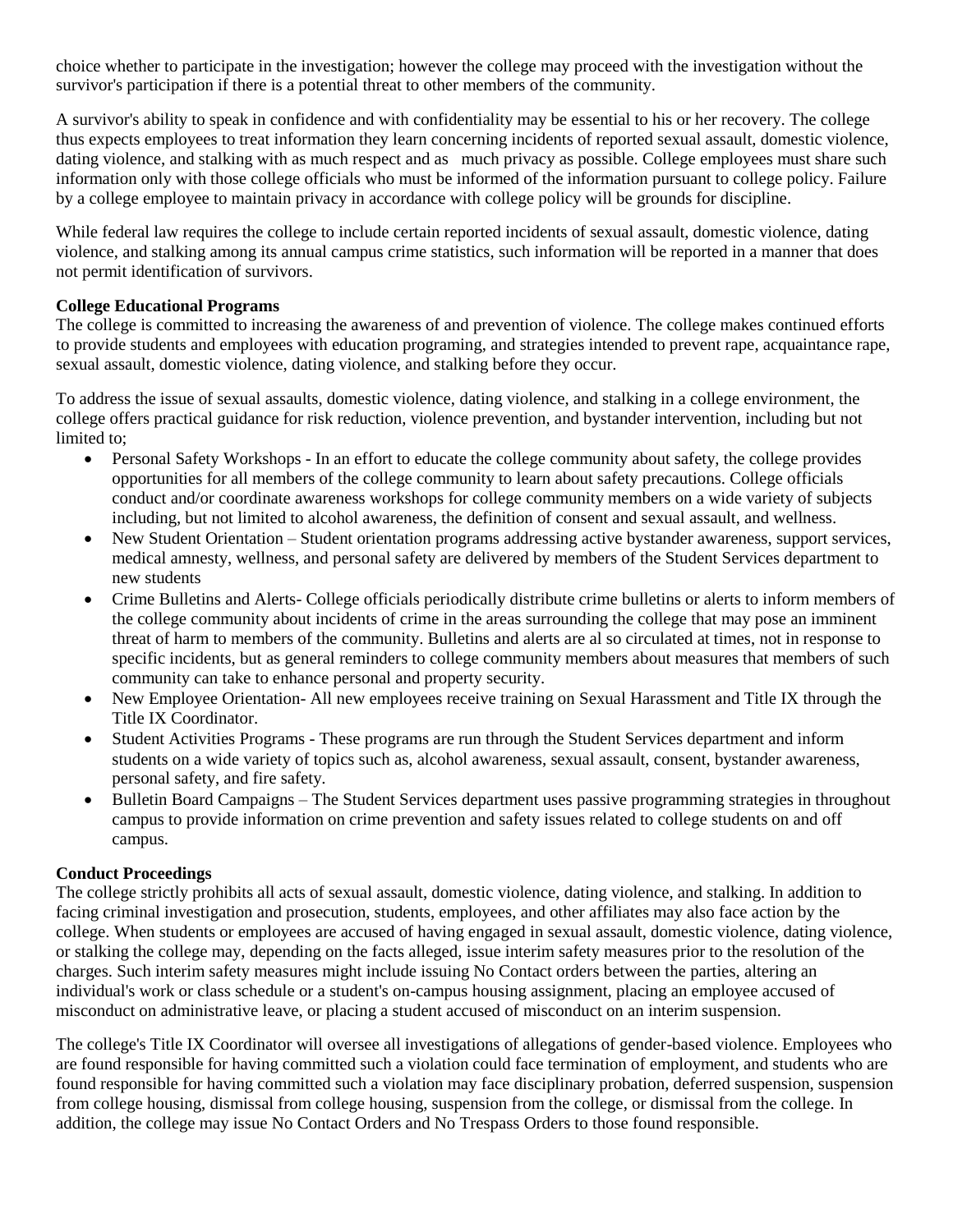choice whether to participate in the investigation; however the college may proceed with the investigation without the survivor's participation if there is a potential threat to other members of the community.

A survivor's ability to speak in confidence and with confidentiality may be essential to his or her recovery. The college thus expects employees to treat information they learn concerning incidents of reported sexual assault, domestic violence, dating violence, and stalking with as much respect and as much privacy as possible. College employees must share such information only with those college officials who must be informed of the information pursuant to college policy. Failure by a college employee to maintain privacy in accordance with college policy will be grounds for discipline.

While federal law requires the college to include certain reported incidents of sexual assault, domestic violence, dating violence, and stalking among its annual campus crime statistics, such information will be reported in a manner that does not permit identification of survivors.

#### **College Educational Programs**

The college is committed to increasing the awareness of and prevention of violence. The college makes continued efforts to provide students and employees with education programing, and strategies intended to prevent rape, acquaintance rape, sexual assault, domestic violence, dating violence, and stalking before they occur.

To address the issue of sexual assaults, domestic violence, dating violence, and stalking in a college environment, the college offers practical guidance for risk reduction, violence prevention, and bystander intervention, including but not limited to;

- Personal Safety Workshops In an effort to educate the college community about safety, the college provides opportunities for all members of the college community to learn about safety precautions. College officials conduct and/or coordinate awareness workshops for college community members on a wide variety of subjects including, but not limited to alcohol awareness, the definition of consent and sexual assault, and wellness.
- New Student Orientation Student orientation programs addressing active bystander awareness, support services, medical amnesty, wellness, and personal safety are delivered by members of the Student Services department to new students
- Crime Bulletins and Alerts- College officials periodically distribute crime bulletins or alerts to inform members of the college community about incidents of crime in the areas surrounding the college that may pose an imminent threat of harm to members of the community. Bulletins and alerts are al so circulated at times, not in response to specific incidents, but as general reminders to college community members about measures that members of such community can take to enhance personal and property security.
- New Employee Orientation- All new employees receive training on Sexual Harassment and Title IX through the Title IX Coordinator.
- Student Activities Programs These programs are run through the Student Services department and inform students on a wide variety of topics such as, alcohol awareness, sexual assault, consent, bystander awareness, personal safety, and fire safety.
- Bulletin Board Campaigns The Student Services department uses passive programming strategies in throughout campus to provide information on crime prevention and safety issues related to college students on and off campus.

### **Conduct Proceedings**

The college strictly prohibits all acts of sexual assault, domestic violence, dating violence, and stalking. In addition to facing criminal investigation and prosecution, students, employees, and other affiliates may also face action by the college. When students or employees are accused of having engaged in sexual assault, domestic violence, dating violence, or stalking the college may, depending on the facts alleged, issue interim safety measures prior to the resolution of the charges. Such interim safety measures might include issuing No Contact orders between the parties, altering an individual's work or class schedule or a student's on-campus housing assignment, placing an employee accused of misconduct on administrative leave, or placing a student accused of misconduct on an interim suspension.

The college's Title IX Coordinator will oversee all investigations of allegations of gender-based violence. Employees who are found responsible for having committed such a violation could face termination of employment, and students who are found responsible for having committed such a violation may face disciplinary probation, deferred suspension, suspension from college housing, dismissal from college housing, suspension from the college, or dismissal from the college. In addition, the college may issue No Contact Orders and No Trespass Orders to those found responsible.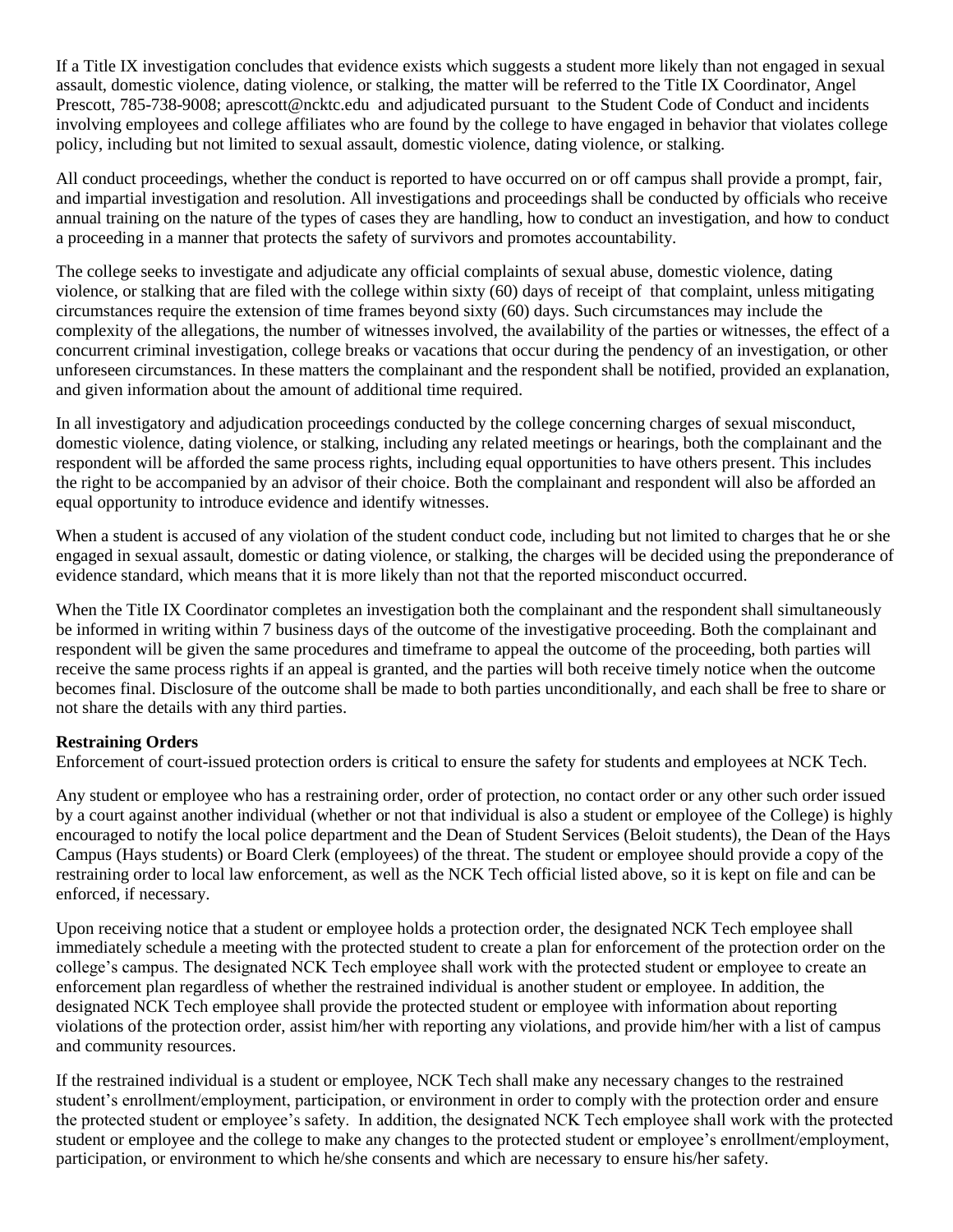If a Title IX investigation concludes that evidence exists which suggests a student more likely than not engaged in sexual assault, domestic violence, dating violence, or stalking, the matter will be referred to the Title IX Coordinator, Angel Prescott, 785-738-9008; aprescott@ncktc.edu and adjudicated pursuant to the Student Code of Conduct and incidents involving employees and college affiliates who are found by the college to have engaged in behavior that violates college policy, including but not limited to sexual assault, domestic violence, dating violence, or stalking.

All conduct proceedings, whether the conduct is reported to have occurred on or off campus shall provide a prompt, fair, and impartial investigation and resolution. All investigations and proceedings shall be conducted by officials who receive annual training on the nature of the types of cases they are handling, how to conduct an investigation, and how to conduct a proceeding in a manner that protects the safety of survivors and promotes accountability.

The college seeks to investigate and adjudicate any official complaints of sexual abuse, domestic violence, dating violence, or stalking that are filed with the college within sixty (60) days of receipt of that complaint, unless mitigating circumstances require the extension of time frames beyond sixty (60) days. Such circumstances may include the complexity of the allegations, the number of witnesses involved, the availability of the parties or witnesses, the effect of a concurrent criminal investigation, college breaks or vacations that occur during the pendency of an investigation, or other unforeseen circumstances. In these matters the complainant and the respondent shall be notified, provided an explanation, and given information about the amount of additional time required.

In all investigatory and adjudication proceedings conducted by the college concerning charges of sexual misconduct, domestic violence, dating violence, or stalking, including any related meetings or hearings, both the complainant and the respondent will be afforded the same process rights, including equal opportunities to have others present. This includes the right to be accompanied by an advisor of their choice. Both the complainant and respondent will also be afforded an equal opportunity to introduce evidence and identify witnesses.

When a student is accused of any violation of the student conduct code, including but not limited to charges that he or she engaged in sexual assault, domestic or dating violence, or stalking, the charges will be decided using the preponderance of evidence standard, which means that it is more likely than not that the reported misconduct occurred.

When the Title IX Coordinator completes an investigation both the complainant and the respondent shall simultaneously be informed in writing within 7 business days of the outcome of the investigative proceeding. Both the complainant and respondent will be given the same procedures and timeframe to appeal the outcome of the proceeding, both parties will receive the same process rights if an appeal is granted, and the parties will both receive timely notice when the outcome becomes final. Disclosure of the outcome shall be made to both parties unconditionally, and each shall be free to share or not share the details with any third parties.

### **Restraining Orders**

Enforcement of court-issued protection orders is critical to ensure the safety for students and employees at NCK Tech.

Any student or employee who has a restraining order, order of protection, no contact order or any other such order issued by a court against another individual (whether or not that individual is also a student or employee of the College) is highly encouraged to notify the local police department and the Dean of Student Services (Beloit students), the Dean of the Hays Campus (Hays students) or Board Clerk (employees) of the threat. The student or employee should provide a copy of the restraining order to local law enforcement, as well as the NCK Tech official listed above, so it is kept on file and can be enforced, if necessary.

Upon receiving notice that a student or employee holds a protection order, the designated NCK Tech employee shall immediately schedule a meeting with the protected student to create a plan for enforcement of the protection order on the college's campus. The designated NCK Tech employee shall work with the protected student or employee to create an enforcement plan regardless of whether the restrained individual is another student or employee. In addition, the designated NCK Tech employee shall provide the protected student or employee with information about reporting violations of the protection order, assist him/her with reporting any violations, and provide him/her with a list of campus and community resources.

If the restrained individual is a student or employee, NCK Tech shall make any necessary changes to the restrained student's enrollment/employment, participation, or environment in order to comply with the protection order and ensure the protected student or employee's safety. In addition, the designated NCK Tech employee shall work with the protected student or employee and the college to make any changes to the protected student or employee's enrollment/employment, participation, or environment to which he/she consents and which are necessary to ensure his/her safety.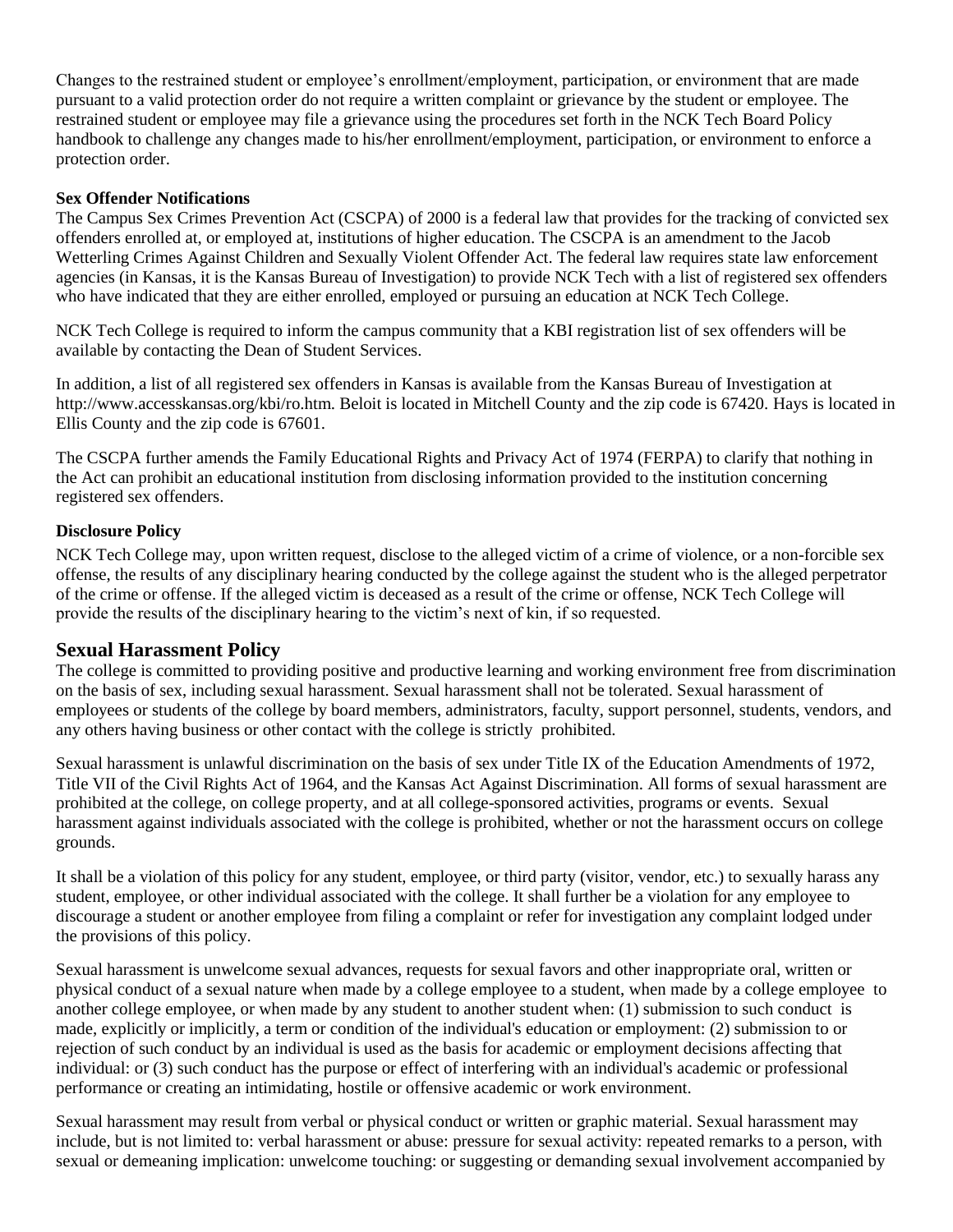Changes to the restrained student or employee's enrollment/employment, participation, or environment that are made pursuant to a valid protection order do not require a written complaint or grievance by the student or employee. The restrained student or employee may file a grievance using the procedures set forth in the NCK Tech Board Policy handbook to challenge any changes made to his/her enrollment/employment, participation, or environment to enforce a protection order.

#### **Sex Offender Notifications**

The Campus Sex Crimes Prevention Act (CSCPA) of 2000 is a federal law that provides for the tracking of convicted sex offenders enrolled at, or employed at, institutions of higher education. The CSCPA is an amendment to the Jacob Wetterling Crimes Against Children and Sexually Violent Offender Act. The federal law requires state law enforcement agencies (in Kansas, it is the Kansas Bureau of Investigation) to provide NCK Tech with a list of registered sex offenders who have indicated that they are either enrolled, employed or pursuing an education at NCK Tech College.

NCK Tech College is required to inform the campus community that a KBI registration list of sex offenders will be available by contacting the Dean of Student Services.

In addition, a list of all registered sex offenders in Kansas is available from the Kansas Bureau of Investigation at http://www.accesskansas.org/kbi/ro.htm. Beloit is located in Mitchell County and the zip code is 67420. Hays is located in Ellis County and the zip code is 67601.

The CSCPA further amends the Family Educational Rights and Privacy Act of 1974 (FERPA) to clarify that nothing in the Act can prohibit an educational institution from disclosing information provided to the institution concerning registered sex offenders.

### **Disclosure Policy**

NCK Tech College may, upon written request, disclose to the alleged victim of a crime of violence, or a non-forcible sex offense, the results of any disciplinary hearing conducted by the college against the student who is the alleged perpetrator of the crime or offense. If the alleged victim is deceased as a result of the crime or offense, NCK Tech College will provide the results of the disciplinary hearing to the victim's next of kin, if so requested.

### **Sexual Harassment Policy**

The college is committed to providing positive and productive learning and working environment free from discrimination on the basis of sex, including sexual harassment. Sexual harassment shall not be tolerated. Sexual harassment of employees or students of the college by board members, administrators, faculty, support personnel, students, vendors, and any others having business or other contact with the college is strictly prohibited.

Sexual harassment is unlawful discrimination on the basis of sex under Title IX of the Education Amendments of 1972, Title VII of the Civil Rights Act of 1964, and the Kansas Act Against Discrimination. All forms of sexual harassment are prohibited at the college, on college property, and at all college-sponsored activities, programs or events. Sexual harassment against individuals associated with the college is prohibited, whether or not the harassment occurs on college grounds.

It shall be a violation of this policy for any student, employee, or third party (visitor, vendor, etc.) to sexually harass any student, employee, or other individual associated with the college. It shall further be a violation for any employee to discourage a student or another employee from filing a complaint or refer for investigation any complaint lodged under the provisions of this policy.

Sexual harassment is unwelcome sexual advances, requests for sexual favors and other inappropriate oral, written or physical conduct of a sexual nature when made by a college employee to a student, when made by a college employee to another college employee, or when made by any student to another student when: (1) submission to such conduct is made, explicitly or implicitly, a term or condition of the individual's education or employment: (2) submission to or rejection of such conduct by an individual is used as the basis for academic or employment decisions affecting that individual: or (3) such conduct has the purpose or effect of interfering with an individual's academic or professional performance or creating an intimidating, hostile or offensive academic or work environment.

Sexual harassment may result from verbal or physical conduct or written or graphic material. Sexual harassment may include, but is not limited to: verbal harassment or abuse: pressure for sexual activity: repeated remarks to a person, with sexual or demeaning implication: unwelcome touching: or suggesting or demanding sexual involvement accompanied by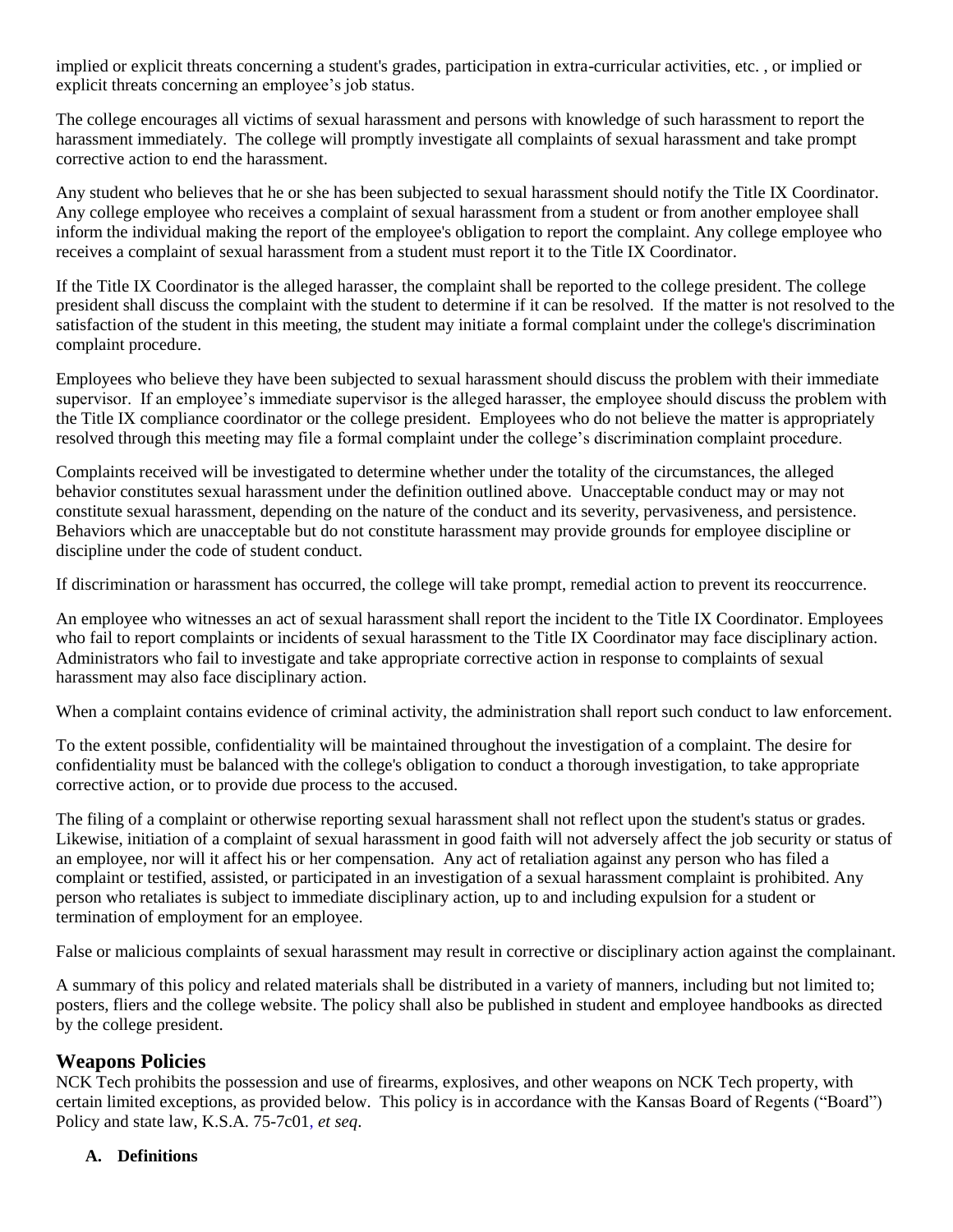implied or explicit threats concerning a student's grades, participation in extra-curricular activities, etc. , or implied or explicit threats concerning an employee's job status.

The college encourages all victims of sexual harassment and persons with knowledge of such harassment to report the harassment immediately. The college will promptly investigate all complaints of sexual harassment and take prompt corrective action to end the harassment.

Any student who believes that he or she has been subjected to sexual harassment should notify the Title IX Coordinator. Any college employee who receives a complaint of sexual harassment from a student or from another employee shall inform the individual making the report of the employee's obligation to report the complaint. Any college employee who receives a complaint of sexual harassment from a student must report it to the Title IX Coordinator.

If the Title IX Coordinator is the alleged harasser, the complaint shall be reported to the college president. The college president shall discuss the complaint with the student to determine if it can be resolved. If the matter is not resolved to the satisfaction of the student in this meeting, the student may initiate a formal complaint under the college's discrimination complaint procedure.

Employees who believe they have been subjected to sexual harassment should discuss the problem with their immediate supervisor. If an employee's immediate supervisor is the alleged harasser, the employee should discuss the problem with the Title IX compliance coordinator or the college president. Employees who do not believe the matter is appropriately resolved through this meeting may file a formal complaint under the college's discrimination complaint procedure.

Complaints received will be investigated to determine whether under the totality of the circumstances, the alleged behavior constitutes sexual harassment under the definition outlined above. Unacceptable conduct may or may not constitute sexual harassment, depending on the nature of the conduct and its severity, pervasiveness, and persistence. Behaviors which are unacceptable but do not constitute harassment may provide grounds for employee discipline or discipline under the code of student conduct.

If discrimination or harassment has occurred, the college will take prompt, remedial action to prevent its reoccurrence.

An employee who witnesses an act of sexual harassment shall report the incident to the Title IX Coordinator. Employees who fail to report complaints or incidents of sexual harassment to the Title IX Coordinator may face disciplinary action. Administrators who fail to investigate and take appropriate corrective action in response to complaints of sexual harassment may also face disciplinary action.

When a complaint contains evidence of criminal activity, the administration shall report such conduct to law enforcement.

To the extent possible, confidentiality will be maintained throughout the investigation of a complaint. The desire for confidentiality must be balanced with the college's obligation to conduct a thorough investigation, to take appropriate corrective action, or to provide due process to the accused.

The filing of a complaint or otherwise reporting sexual harassment shall not reflect upon the student's status or grades. Likewise, initiation of a complaint of sexual harassment in good faith will not adversely affect the job security or status of an employee, nor will it affect his or her compensation. Any act of retaliation against any person who has filed a complaint or testified, assisted, or participated in an investigation of a sexual harassment complaint is prohibited. Any person who retaliates is subject to immediate disciplinary action, up to and including expulsion for a student or termination of employment for an employee.

False or malicious complaints of sexual harassment may result in corrective or disciplinary action against the complainant.

A summary of this policy and related materials shall be distributed in a variety of manners, including but not limited to; posters, fliers and the college website. The policy shall also be published in student and employee handbooks as directed by the college president.

## **Weapons Policies**

NCK Tech prohibits the possession and use of firearms, explosives, and other weapons on NCK Tech property, with certain limited exceptions, as provided below. This policy is in accordance with the Kansas Board of Regents ("Board") Policy and state law, K.S.A. 75-7c01, *et seq*.

### **A. Definitions**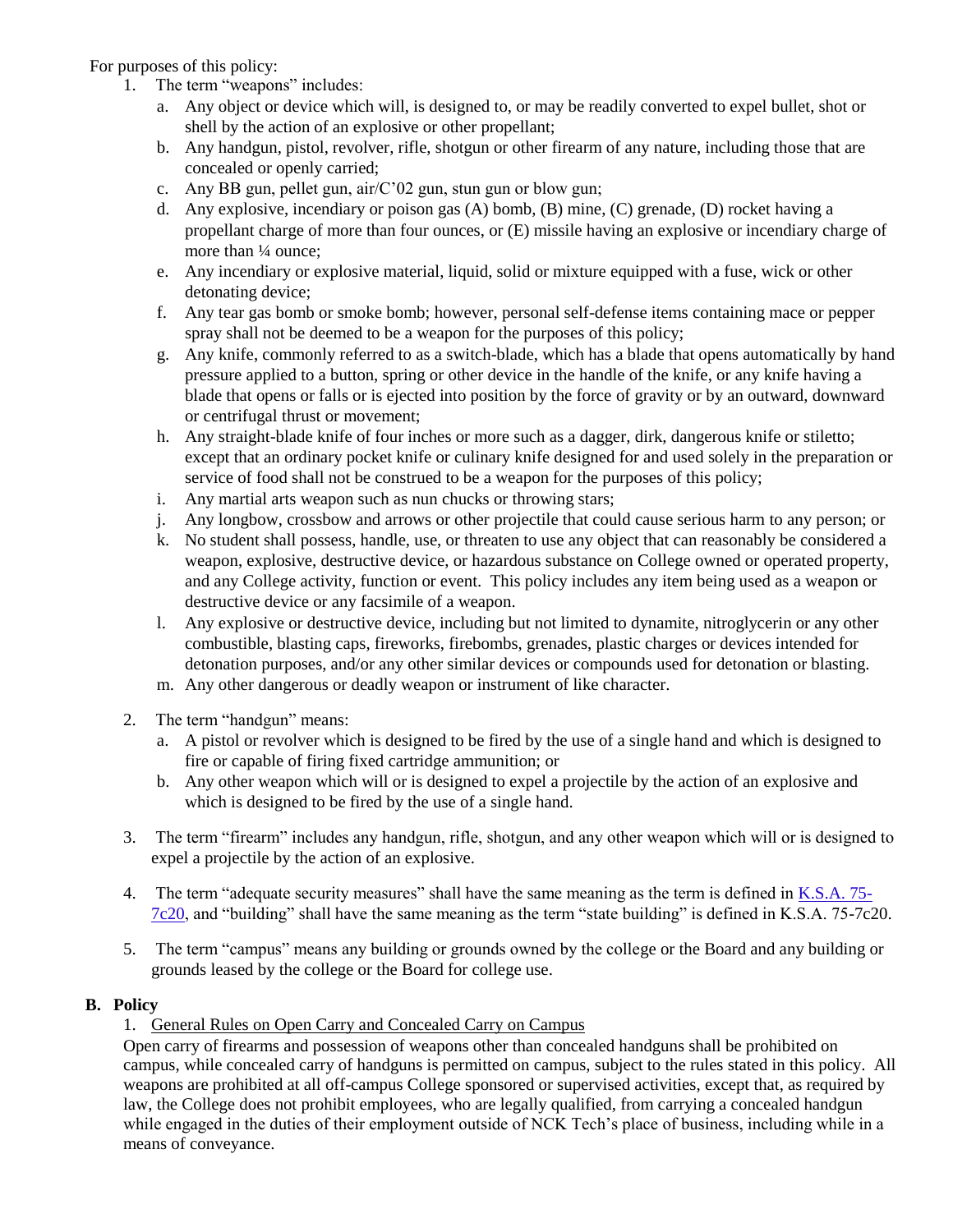For purposes of this policy:

- 1. The term "weapons" includes:
	- a. Any object or device which will, is designed to, or may be readily converted to expel bullet, shot or shell by the action of an explosive or other propellant;
	- b. Any handgun, pistol, revolver, rifle, shotgun or other firearm of any nature, including those that are concealed or openly carried;
	- c. Any BB gun, pellet gun, air/C'02 gun, stun gun or blow gun;
	- d. Any explosive, incendiary or poison gas (A) bomb, (B) mine, (C) grenade, (D) rocket having a propellant charge of more than four ounces, or (E) missile having an explosive or incendiary charge of more than  $\frac{1}{4}$  ounce:
	- e. Any incendiary or explosive material, liquid, solid or mixture equipped with a fuse, wick or other detonating device;
	- f. Any tear gas bomb or smoke bomb; however, personal self-defense items containing mace or pepper spray shall not be deemed to be a weapon for the purposes of this policy;
	- g. Any knife, commonly referred to as a switch-blade, which has a blade that opens automatically by hand pressure applied to a button, spring or other device in the handle of the knife, or any knife having a blade that opens or falls or is ejected into position by the force of gravity or by an outward, downward or centrifugal thrust or movement;
	- h. Any straight-blade knife of four inches or more such as a dagger, dirk, dangerous knife or stiletto; except that an ordinary pocket knife or culinary knife designed for and used solely in the preparation or service of food shall not be construed to be a weapon for the purposes of this policy;
	- i. Any martial arts weapon such as nun chucks or throwing stars;
	- j. Any longbow, crossbow and arrows or other projectile that could cause serious harm to any person; or
	- k. No student shall possess, handle, use, or threaten to use any object that can reasonably be considered a weapon, explosive, destructive device, or hazardous substance on College owned or operated property, and any College activity, function or event. This policy includes any item being used as a weapon or destructive device or any facsimile of a weapon.
	- l. Any explosive or destructive device, including but not limited to dynamite, nitroglycerin or any other combustible, blasting caps, fireworks, firebombs, grenades, plastic charges or devices intended for detonation purposes, and/or any other similar devices or compounds used for detonation or blasting.
	- m. Any other dangerous or deadly weapon or instrument of like character.
- 2. The term "handgun" means:
	- a. A pistol or revolver which is designed to be fired by the use of a single hand and which is designed to fire or capable of firing fixed cartridge ammunition; or
	- b. Any other weapon which will or is designed to expel a projectile by the action of an explosive and which is designed to be fired by the use of a single hand.
- 3. The term "firearm" includes any handgun, rifle, shotgun, and any other weapon which will or is designed to expel a projectile by the action of an explosive.
- 4. The term "adequate security measures" shall have the same meaning as the term is defined in K.S.A. 75- 7c20, and "building" shall have the same meaning as the term "state building" is defined in K.S.A. 75-7c20.
- 5. The term "campus" means any building or grounds owned by the college or the Board and any building or grounds leased by the college or the Board for college use.

### **B. Policy**

## 1. General Rules on Open Carry and Concealed Carry on Campus

Open carry of firearms and possession of weapons other than concealed handguns shall be prohibited on campus, while concealed carry of handguns is permitted on campus, subject to the rules stated in this policy. All weapons are prohibited at all off-campus College sponsored or supervised activities, except that, as required by law, the College does not prohibit employees, who are legally qualified, from carrying a concealed handgun while engaged in the duties of their employment outside of NCK Tech's place of business, including while in a means of conveyance.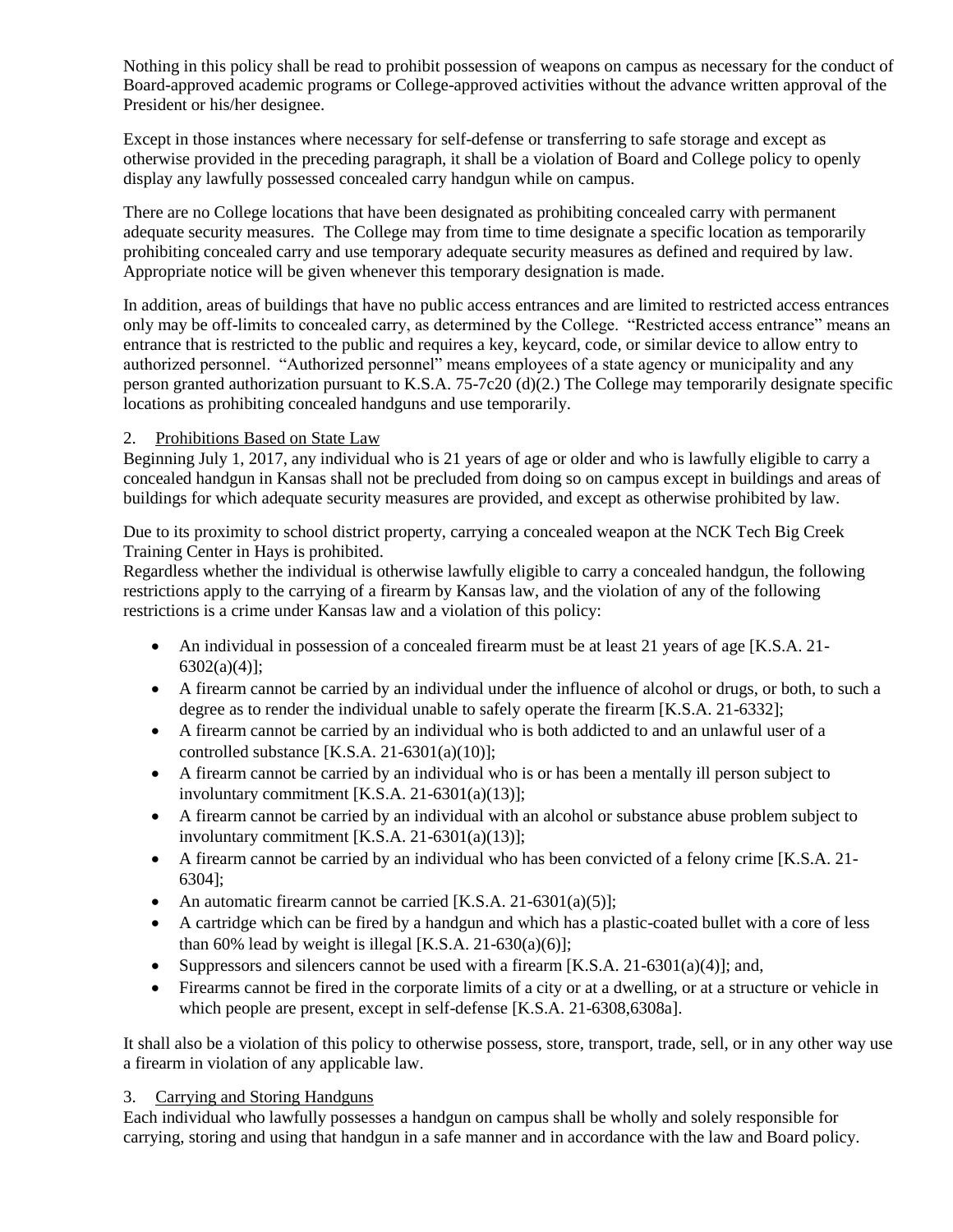Nothing in this policy shall be read to prohibit possession of weapons on campus as necessary for the conduct of Board-approved academic programs or College-approved activities without the advance written approval of the President or his/her designee.

Except in those instances where necessary for self-defense or transferring to safe storage and except as otherwise provided in the preceding paragraph, it shall be a violation of Board and College policy to openly display any lawfully possessed concealed carry handgun while on campus.

There are no College locations that have been designated as prohibiting concealed carry with permanent adequate security measures. The College may from time to time designate a specific location as temporarily prohibiting concealed carry and use temporary adequate security measures as defined and required by law. Appropriate notice will be given whenever this temporary designation is made.

In addition, areas of buildings that have no public access entrances and are limited to restricted access entrances only may be off-limits to concealed carry, as determined by the College. "Restricted access entrance" means an entrance that is restricted to the public and requires a key, keycard, code, or similar device to allow entry to authorized personnel. "Authorized personnel" means employees of a state agency or municipality and any person granted authorization pursuant to K.S.A. 75-7c20 (d)(2.) The College may temporarily designate specific locations as prohibiting concealed handguns and use temporarily.

#### 2. Prohibitions Based on State Law

Beginning July 1, 2017, any individual who is 21 years of age or older and who is lawfully eligible to carry a concealed handgun in Kansas shall not be precluded from doing so on campus except in buildings and areas of buildings for which adequate security measures are provided, and except as otherwise prohibited by law.

Due to its proximity to school district property, carrying a concealed weapon at the NCK Tech Big Creek Training Center in Hays is prohibited.

Regardless whether the individual is otherwise lawfully eligible to carry a concealed handgun, the following restrictions apply to the carrying of a firearm by Kansas law, and the violation of any of the following restrictions is a crime under Kansas law and a violation of this policy:

- An individual in possession of a concealed firearm must be at least 21 years of age [K.S.A. 21- 6302(a)(4)];
- A firearm cannot be carried by an individual under the influence of alcohol or drugs, or both, to such a degree as to render the individual unable to safely operate the firearm [K.S.A. 21-6332];
- A firearm cannot be carried by an individual who is both addicted to and an unlawful user of a controlled substance [K.S.A. 21-6301(a)(10)];
- A firearm cannot be carried by an individual who is or has been a mentally ill person subject to involuntary commitment [K.S.A. 21-6301(a)(13)];
- A firearm cannot be carried by an individual with an alcohol or substance abuse problem subject to involuntary commitment [K.S.A. 21-6301(a)(13)];
- A firearm cannot be carried by an individual who has been convicted of a felony crime [K.S.A. 21- 6304];
- An automatic firearm cannot be carried [K.S.A. 21-6301(a)(5)];
- A cartridge which can be fired by a handgun and which has a plastic-coated bullet with a core of less than 60% lead by weight is illegal [K.S.A. 21-630(a)(6)];
- Suppressors and silencers cannot be used with a firearm [K.S.A. 21-6301(a)(4)]; and,
- Firearms cannot be fired in the corporate limits of a city or at a dwelling, or at a structure or vehicle in which people are present, except in self-defense [K.S.A. 21-6308,6308a].

It shall also be a violation of this policy to otherwise possess, store, transport, trade, sell, or in any other way use a firearm in violation of any applicable law.

#### 3. Carrying and Storing Handguns

Each individual who lawfully possesses a handgun on campus shall be wholly and solely responsible for carrying, storing and using that handgun in a safe manner and in accordance with the law and Board policy.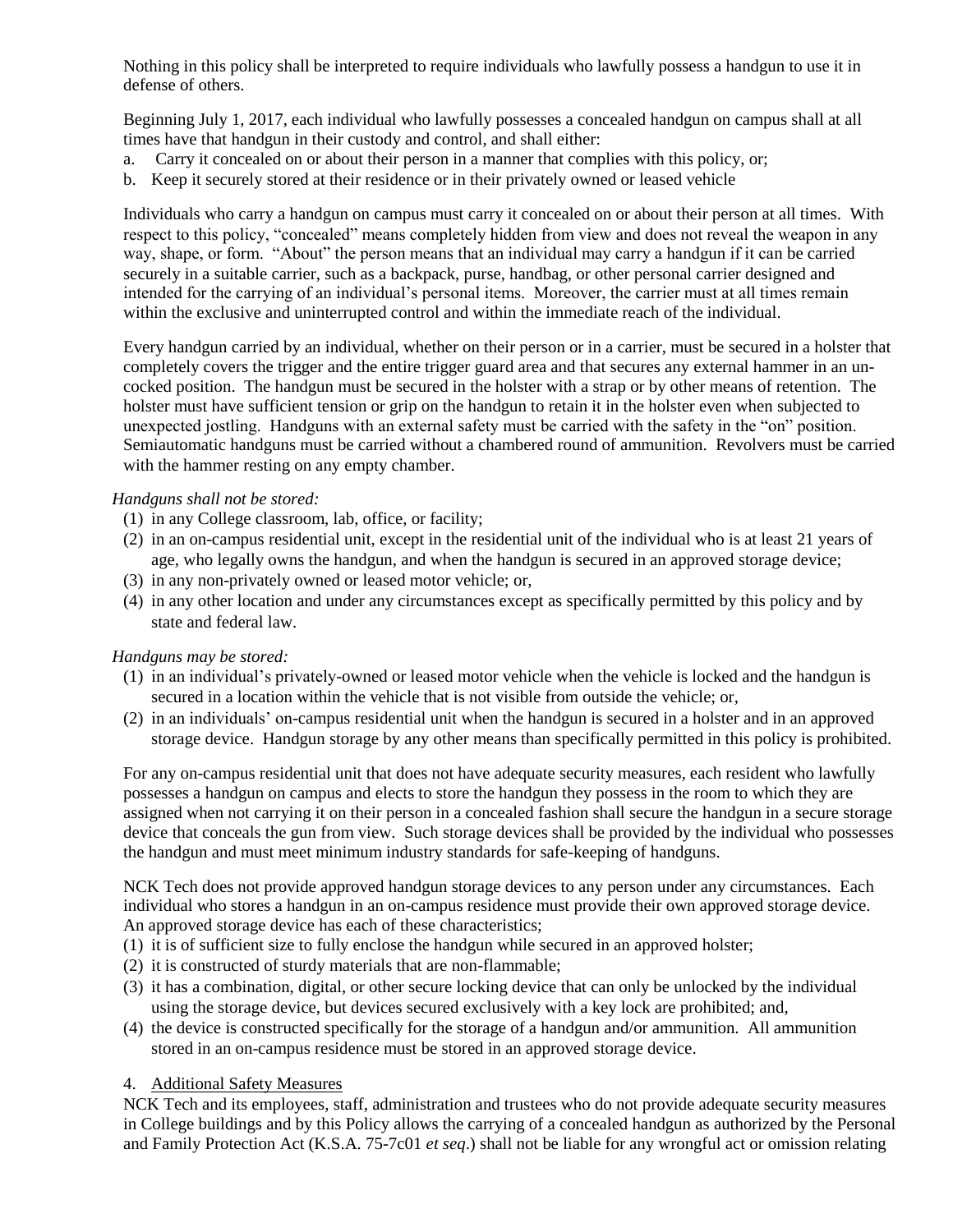Nothing in this policy shall be interpreted to require individuals who lawfully possess a handgun to use it in defense of others.

Beginning July 1, 2017, each individual who lawfully possesses a concealed handgun on campus shall at all times have that handgun in their custody and control, and shall either:

- a. Carry it concealed on or about their person in a manner that complies with this policy, or;
- b. Keep it securely stored at their residence or in their privately owned or leased vehicle

Individuals who carry a handgun on campus must carry it concealed on or about their person at all times. With respect to this policy, "concealed" means completely hidden from view and does not reveal the weapon in any way, shape, or form. "About" the person means that an individual may carry a handgun if it can be carried securely in a suitable carrier, such as a backpack, purse, handbag, or other personal carrier designed and intended for the carrying of an individual's personal items. Moreover, the carrier must at all times remain within the exclusive and uninterrupted control and within the immediate reach of the individual.

Every handgun carried by an individual, whether on their person or in a carrier, must be secured in a holster that completely covers the trigger and the entire trigger guard area and that secures any external hammer in an uncocked position. The handgun must be secured in the holster with a strap or by other means of retention. The holster must have sufficient tension or grip on the handgun to retain it in the holster even when subjected to unexpected jostling. Handguns with an external safety must be carried with the safety in the "on" position. Semiautomatic handguns must be carried without a chambered round of ammunition. Revolvers must be carried with the hammer resting on any empty chamber.

#### *Handguns shall not be stored:*

- (1) in any College classroom, lab, office, or facility;
- (2) in an on-campus residential unit, except in the residential unit of the individual who is at least 21 years of age, who legally owns the handgun, and when the handgun is secured in an approved storage device;
- (3) in any non-privately owned or leased motor vehicle; or,
- (4) in any other location and under any circumstances except as specifically permitted by this policy and by state and federal law.

#### *Handguns may be stored:*

- (1) in an individual's privately-owned or leased motor vehicle when the vehicle is locked and the handgun is secured in a location within the vehicle that is not visible from outside the vehicle; or,
- (2) in an individuals' on-campus residential unit when the handgun is secured in a holster and in an approved storage device. Handgun storage by any other means than specifically permitted in this policy is prohibited.

For any on-campus residential unit that does not have adequate security measures, each resident who lawfully possesses a handgun on campus and elects to store the handgun they possess in the room to which they are assigned when not carrying it on their person in a concealed fashion shall secure the handgun in a secure storage device that conceals the gun from view. Such storage devices shall be provided by the individual who possesses the handgun and must meet minimum industry standards for safe-keeping of handguns.

NCK Tech does not provide approved handgun storage devices to any person under any circumstances. Each individual who stores a handgun in an on-campus residence must provide their own approved storage device. An approved storage device has each of these characteristics;

- (1) it is of sufficient size to fully enclose the handgun while secured in an approved holster;
- (2) it is constructed of sturdy materials that are non-flammable;
- (3) it has a combination, digital, or other secure locking device that can only be unlocked by the individual using the storage device, but devices secured exclusively with a key lock are prohibited; and,
- (4) the device is constructed specifically for the storage of a handgun and/or ammunition. All ammunition stored in an on-campus residence must be stored in an approved storage device.

#### 4. Additional Safety Measures

NCK Tech and its employees, staff, administration and trustees who do not provide adequate security measures in College buildings and by this Policy allows the carrying of a concealed handgun as authorized by the Personal and Family Protection Act (K.S.A. 75-7c01 *et seq*.) shall not be liable for any wrongful act or omission relating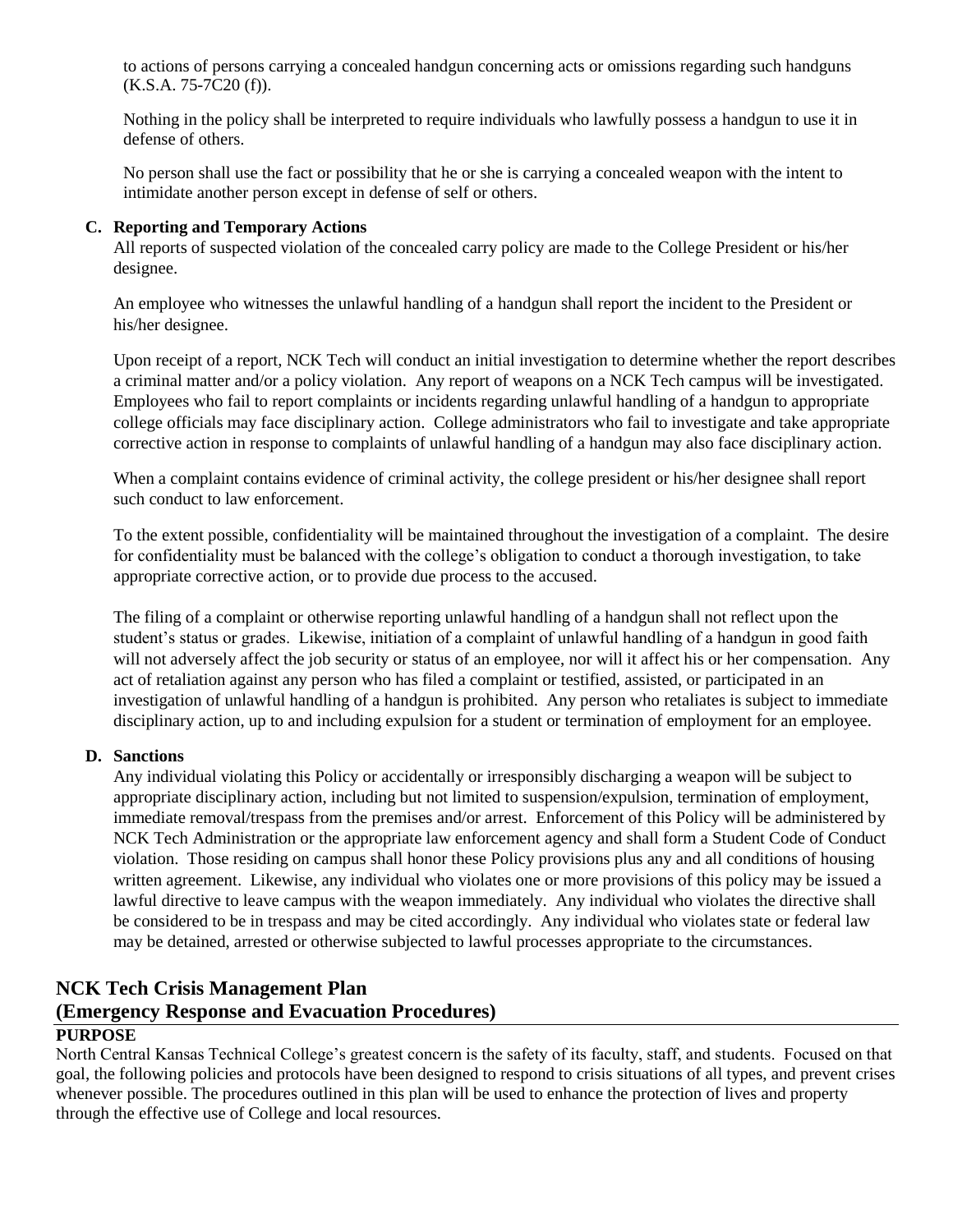to actions of persons carrying a concealed handgun concerning acts or omissions regarding such handguns (K.S.A. 75-7C20 (f)).

Nothing in the policy shall be interpreted to require individuals who lawfully possess a handgun to use it in defense of others.

No person shall use the fact or possibility that he or she is carrying a concealed weapon with the intent to intimidate another person except in defense of self or others.

#### **C. Reporting and Temporary Actions**

All reports of suspected violation of the concealed carry policy are made to the College President or his/her designee.

An employee who witnesses the unlawful handling of a handgun shall report the incident to the President or his/her designee.

Upon receipt of a report, NCK Tech will conduct an initial investigation to determine whether the report describes a criminal matter and/or a policy violation. Any report of weapons on a NCK Tech campus will be investigated. Employees who fail to report complaints or incidents regarding unlawful handling of a handgun to appropriate college officials may face disciplinary action. College administrators who fail to investigate and take appropriate corrective action in response to complaints of unlawful handling of a handgun may also face disciplinary action.

When a complaint contains evidence of criminal activity, the college president or his/her designee shall report such conduct to law enforcement.

To the extent possible, confidentiality will be maintained throughout the investigation of a complaint. The desire for confidentiality must be balanced with the college's obligation to conduct a thorough investigation, to take appropriate corrective action, or to provide due process to the accused.

The filing of a complaint or otherwise reporting unlawful handling of a handgun shall not reflect upon the student's status or grades. Likewise, initiation of a complaint of unlawful handling of a handgun in good faith will not adversely affect the job security or status of an employee, nor will it affect his or her compensation. Any act of retaliation against any person who has filed a complaint or testified, assisted, or participated in an investigation of unlawful handling of a handgun is prohibited. Any person who retaliates is subject to immediate disciplinary action, up to and including expulsion for a student or termination of employment for an employee.

#### **D. Sanctions**

Any individual violating this Policy or accidentally or irresponsibly discharging a weapon will be subject to appropriate disciplinary action, including but not limited to suspension/expulsion, termination of employment, immediate removal/trespass from the premises and/or arrest. Enforcement of this Policy will be administered by NCK Tech Administration or the appropriate law enforcement agency and shall form a Student Code of Conduct violation. Those residing on campus shall honor these Policy provisions plus any and all conditions of housing written agreement. Likewise, any individual who violates one or more provisions of this policy may be issued a lawful directive to leave campus with the weapon immediately. Any individual who violates the directive shall be considered to be in trespass and may be cited accordingly. Any individual who violates state or federal law may be detained, arrested or otherwise subjected to lawful processes appropriate to the circumstances.

## **NCK Tech Crisis Management Plan**

## **(Emergency Response and Evacuation Procedures)**

### **PURPOSE**

North Central Kansas Technical College's greatest concern is the safety of its faculty, staff, and students. Focused on that goal, the following policies and protocols have been designed to respond to crisis situations of all types, and prevent crises whenever possible. The procedures outlined in this plan will be used to enhance the protection of lives and property through the effective use of College and local resources.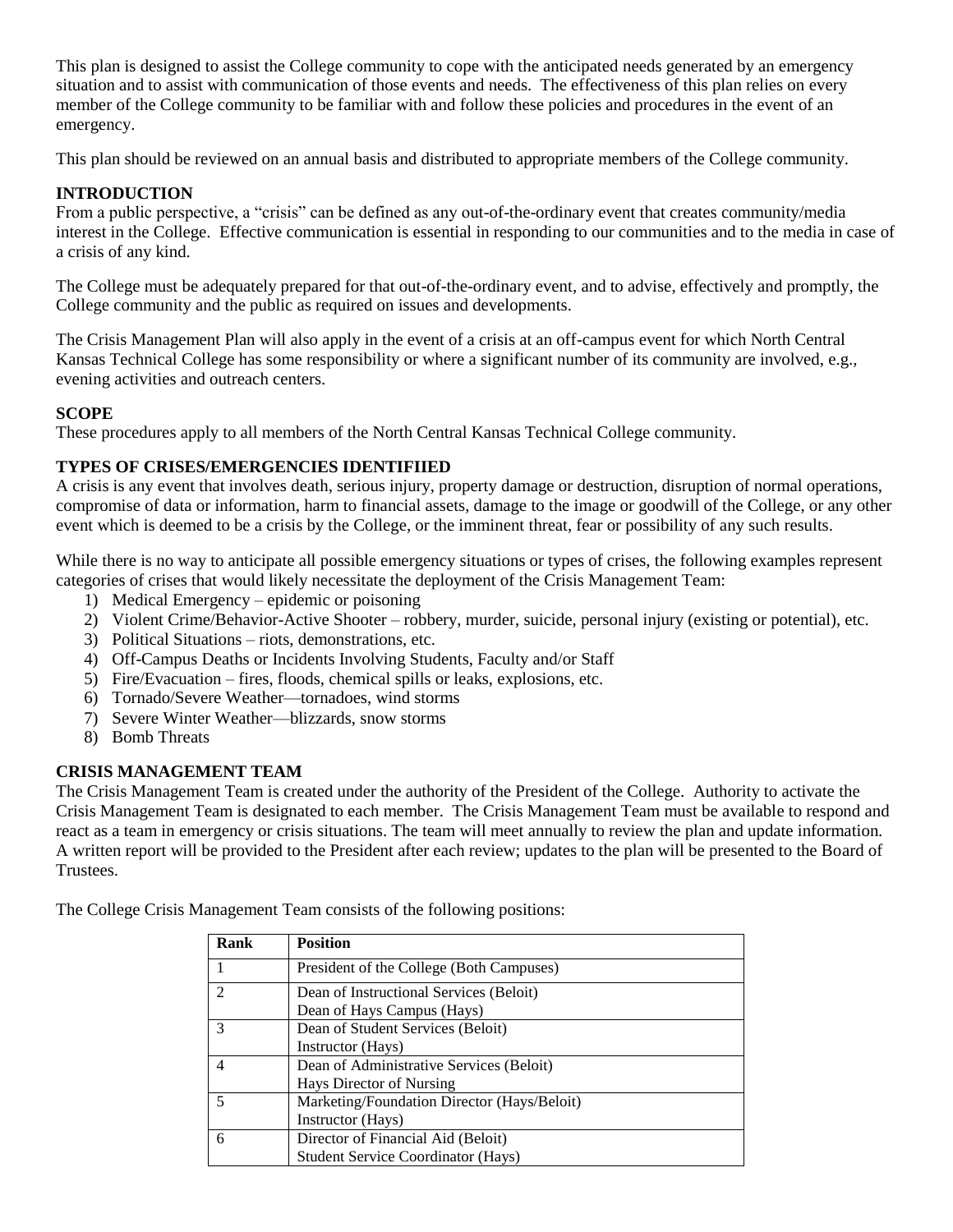This plan is designed to assist the College community to cope with the anticipated needs generated by an emergency situation and to assist with communication of those events and needs. The effectiveness of this plan relies on every member of the College community to be familiar with and follow these policies and procedures in the event of an emergency.

This plan should be reviewed on an annual basis and distributed to appropriate members of the College community.

## **INTRODUCTION**

From a public perspective, a "crisis" can be defined as any out-of-the-ordinary event that creates community/media interest in the College. Effective communication is essential in responding to our communities and to the media in case of a crisis of any kind.

The College must be adequately prepared for that out-of-the-ordinary event, and to advise, effectively and promptly, the College community and the public as required on issues and developments.

The Crisis Management Plan will also apply in the event of a crisis at an off-campus event for which North Central Kansas Technical College has some responsibility or where a significant number of its community are involved, e.g., evening activities and outreach centers.

#### **SCOPE**

These procedures apply to all members of the North Central Kansas Technical College community.

### **TYPES OF CRISES/EMERGENCIES IDENTIFIIED**

A crisis is any event that involves death, serious injury, property damage or destruction, disruption of normal operations, compromise of data or information, harm to financial assets, damage to the image or goodwill of the College, or any other event which is deemed to be a crisis by the College, or the imminent threat, fear or possibility of any such results.

While there is no way to anticipate all possible emergency situations or types of crises, the following examples represent categories of crises that would likely necessitate the deployment of the Crisis Management Team:

- 1) Medical Emergency epidemic or poisoning
- 2) Violent Crime/Behavior-Active Shooter robbery, murder, suicide, personal injury (existing or potential), etc.
- 3) Political Situations riots, demonstrations, etc.
- 4) Off-Campus Deaths or Incidents Involving Students, Faculty and/or Staff
- 5) Fire/Evacuation fires, floods, chemical spills or leaks, explosions, etc.
- 6) Tornado/Severe Weather—tornadoes, wind storms
- 7) Severe Winter Weather—blizzards, snow storms
- 8) Bomb Threats

### **CRISIS MANAGEMENT TEAM**

The Crisis Management Team is created under the authority of the President of the College. Authority to activate the Crisis Management Team is designated to each member. The Crisis Management Team must be available to respond and react as a team in emergency or crisis situations. The team will meet annually to review the plan and update information. A written report will be provided to the President after each review; updates to the plan will be presented to the Board of Trustees.

The College Crisis Management Team consists of the following positions:

| Rank           | <b>Position</b>                             |
|----------------|---------------------------------------------|
|                | President of the College (Both Campuses)    |
| $\mathfrak{D}$ | Dean of Instructional Services (Beloit)     |
|                | Dean of Hays Campus (Hays)                  |
| 3              | Dean of Student Services (Beloit)           |
|                | Instructor (Hays)                           |
| 4              | Dean of Administrative Services (Beloit)    |
|                | Hays Director of Nursing                    |
| 5              | Marketing/Foundation Director (Hays/Beloit) |
|                | Instructor (Hays)                           |
| 6              | Director of Financial Aid (Beloit)          |
|                | <b>Student Service Coordinator (Hays)</b>   |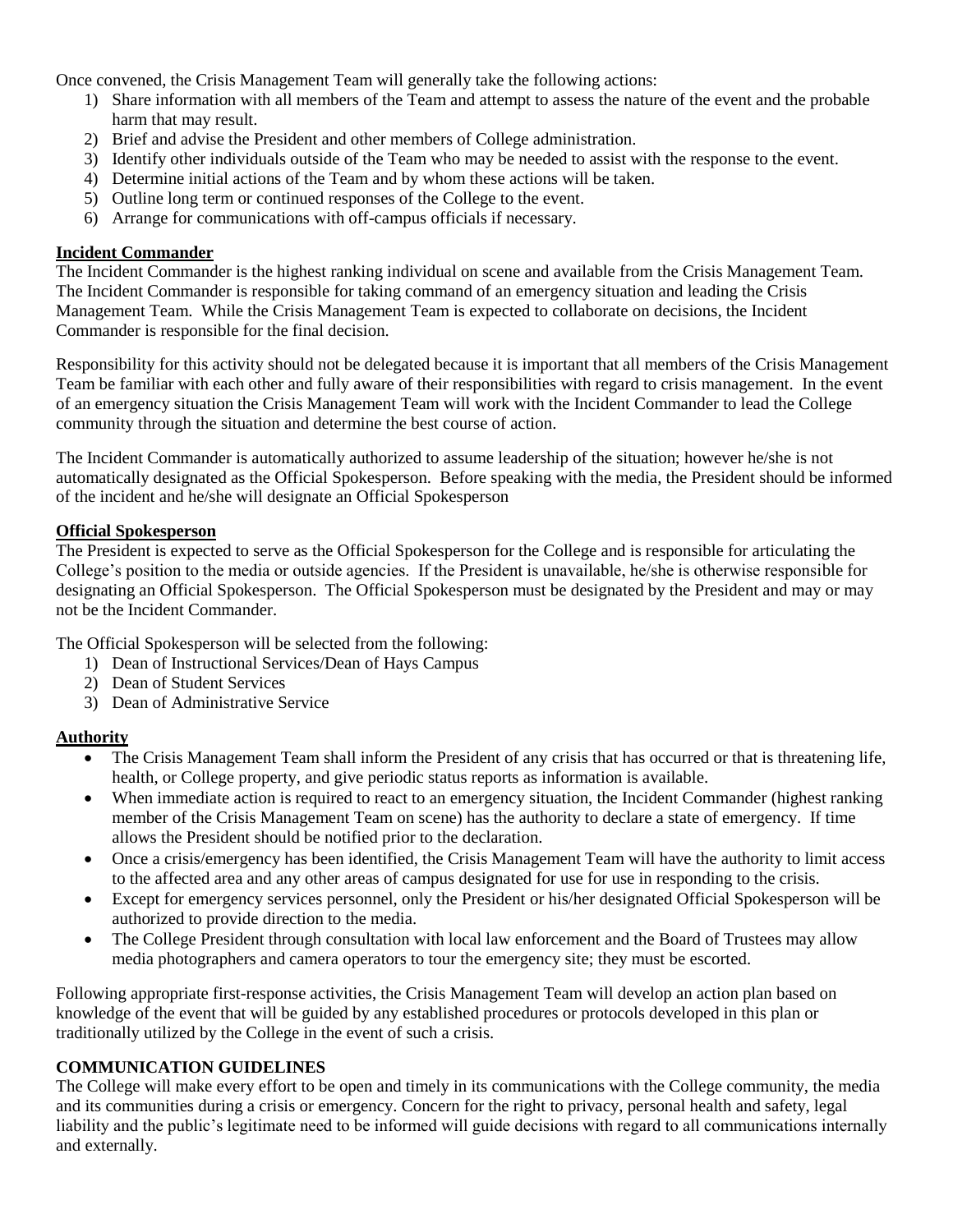Once convened, the Crisis Management Team will generally take the following actions:

- 1) Share information with all members of the Team and attempt to assess the nature of the event and the probable harm that may result.
- 2) Brief and advise the President and other members of College administration.
- 3) Identify other individuals outside of the Team who may be needed to assist with the response to the event.
- 4) Determine initial actions of the Team and by whom these actions will be taken.
- 5) Outline long term or continued responses of the College to the event.
- 6) Arrange for communications with off-campus officials if necessary.

#### **Incident Commander**

The Incident Commander is the highest ranking individual on scene and available from the Crisis Management Team. The Incident Commander is responsible for taking command of an emergency situation and leading the Crisis Management Team. While the Crisis Management Team is expected to collaborate on decisions, the Incident Commander is responsible for the final decision.

Responsibility for this activity should not be delegated because it is important that all members of the Crisis Management Team be familiar with each other and fully aware of their responsibilities with regard to crisis management. In the event of an emergency situation the Crisis Management Team will work with the Incident Commander to lead the College community through the situation and determine the best course of action.

The Incident Commander is automatically authorized to assume leadership of the situation; however he/she is not automatically designated as the Official Spokesperson. Before speaking with the media, the President should be informed of the incident and he/she will designate an Official Spokesperson

#### **Official Spokesperson**

The President is expected to serve as the Official Spokesperson for the College and is responsible for articulating the College's position to the media or outside agencies. If the President is unavailable, he/she is otherwise responsible for designating an Official Spokesperson. The Official Spokesperson must be designated by the President and may or may not be the Incident Commander.

The Official Spokesperson will be selected from the following:

- 1) Dean of Instructional Services/Dean of Hays Campus
- 2) Dean of Student Services
- 3) Dean of Administrative Service

#### **Authority**

- The Crisis Management Team shall inform the President of any crisis that has occurred or that is threatening life, health, or College property, and give periodic status reports as information is available.
- When immediate action is required to react to an emergency situation, the Incident Commander (highest ranking member of the Crisis Management Team on scene) has the authority to declare a state of emergency. If time allows the President should be notified prior to the declaration.
- Once a crisis/emergency has been identified, the Crisis Management Team will have the authority to limit access to the affected area and any other areas of campus designated for use for use in responding to the crisis.
- Except for emergency services personnel, only the President or his/her designated Official Spokesperson will be authorized to provide direction to the media.
- The College President through consultation with local law enforcement and the Board of Trustees may allow media photographers and camera operators to tour the emergency site; they must be escorted.

Following appropriate first-response activities, the Crisis Management Team will develop an action plan based on knowledge of the event that will be guided by any established procedures or protocols developed in this plan or traditionally utilized by the College in the event of such a crisis.

### **COMMUNICATION GUIDELINES**

The College will make every effort to be open and timely in its communications with the College community, the media and its communities during a crisis or emergency. Concern for the right to privacy, personal health and safety, legal liability and the public's legitimate need to be informed will guide decisions with regard to all communications internally and externally.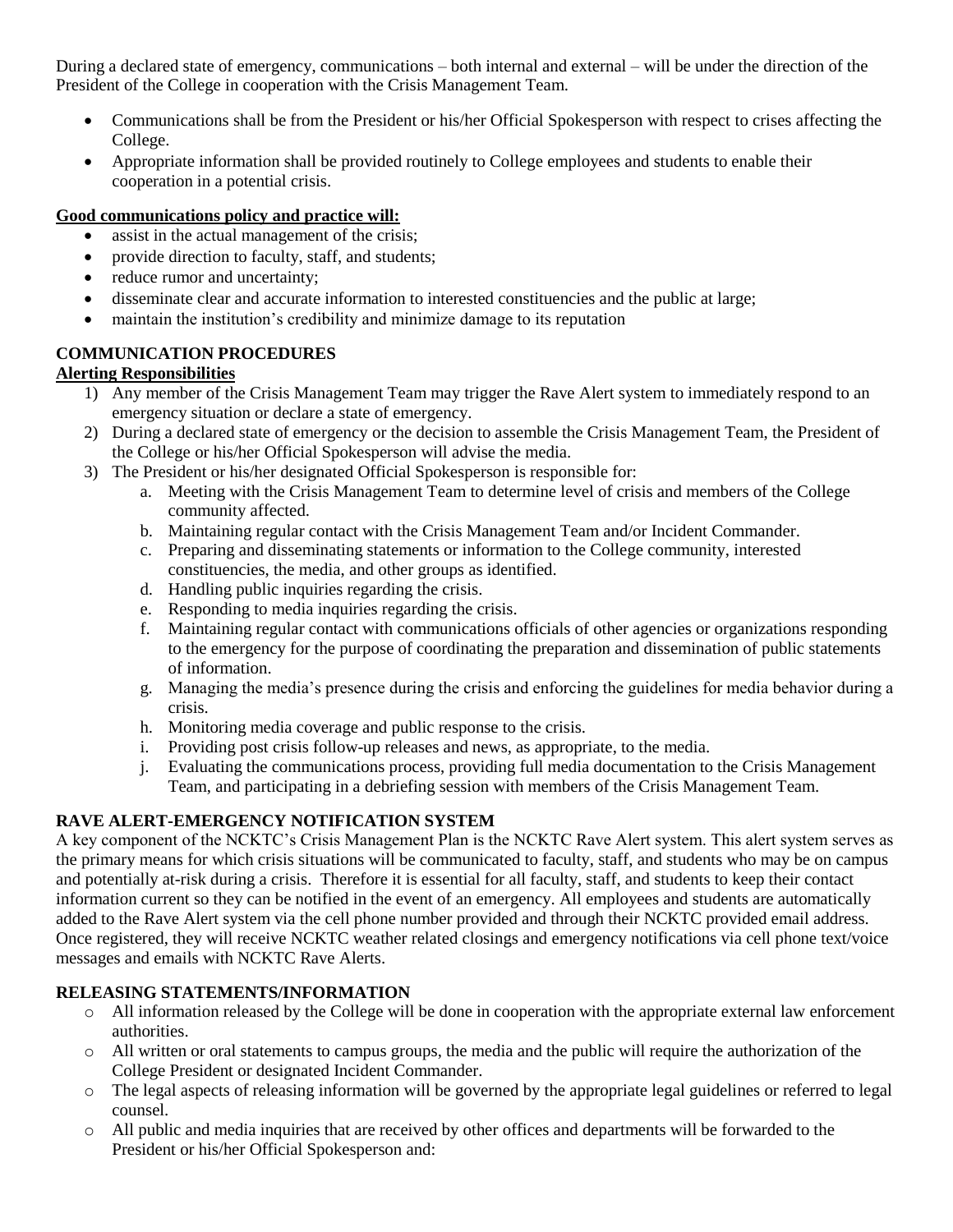During a declared state of emergency, communications – both internal and external – will be under the direction of the President of the College in cooperation with the Crisis Management Team.

- Communications shall be from the President or his/her Official Spokesperson with respect to crises affecting the College.
- Appropriate information shall be provided routinely to College employees and students to enable their cooperation in a potential crisis.

## **Good communications policy and practice will:**

- assist in the actual management of the crisis;
- provide direction to faculty, staff, and students;
- reduce rumor and uncertainty;
- disseminate clear and accurate information to interested constituencies and the public at large;
- maintain the institution's credibility and minimize damage to its reputation

## **COMMUNICATION PROCEDURES**

## **Alerting Responsibilities**

- 1) Any member of the Crisis Management Team may trigger the Rave Alert system to immediately respond to an emergency situation or declare a state of emergency.
- 2) During a declared state of emergency or the decision to assemble the Crisis Management Team, the President of the College or his/her Official Spokesperson will advise the media.
- 3) The President or his/her designated Official Spokesperson is responsible for:
	- a. Meeting with the Crisis Management Team to determine level of crisis and members of the College community affected.
	- b. Maintaining regular contact with the Crisis Management Team and/or Incident Commander.
	- c. Preparing and disseminating statements or information to the College community, interested constituencies, the media, and other groups as identified.
	- d. Handling public inquiries regarding the crisis.
	- e. Responding to media inquiries regarding the crisis.
	- f. Maintaining regular contact with communications officials of other agencies or organizations responding to the emergency for the purpose of coordinating the preparation and dissemination of public statements of information.
	- g. Managing the media's presence during the crisis and enforcing the guidelines for media behavior during a crisis.
	- h. Monitoring media coverage and public response to the crisis.
	- i. Providing post crisis follow-up releases and news, as appropriate, to the media.
	- j. Evaluating the communications process, providing full media documentation to the Crisis Management Team, and participating in a debriefing session with members of the Crisis Management Team.

## **RAVE ALERT-EMERGENCY NOTIFICATION SYSTEM**

A key component of the NCKTC's Crisis Management Plan is the NCKTC Rave Alert system. This alert system serves as the primary means for which crisis situations will be communicated to faculty, staff, and students who may be on campus and potentially at-risk during a crisis. Therefore it is essential for all faculty, staff, and students to keep their contact information current so they can be notified in the event of an emergency. All employees and students are automatically added to the Rave Alert system via the cell phone number provided and through their NCKTC provided email address. Once registered, they will receive NCKTC weather related closings and emergency notifications via cell phone text/voice messages and emails with NCKTC Rave Alerts.

## **RELEASING STATEMENTS/INFORMATION**

- o All information released by the College will be done in cooperation with the appropriate external law enforcement authorities.
- o All written or oral statements to campus groups, the media and the public will require the authorization of the College President or designated Incident Commander.
- o The legal aspects of releasing information will be governed by the appropriate legal guidelines or referred to legal counsel.
- o All public and media inquiries that are received by other offices and departments will be forwarded to the President or his/her Official Spokesperson and: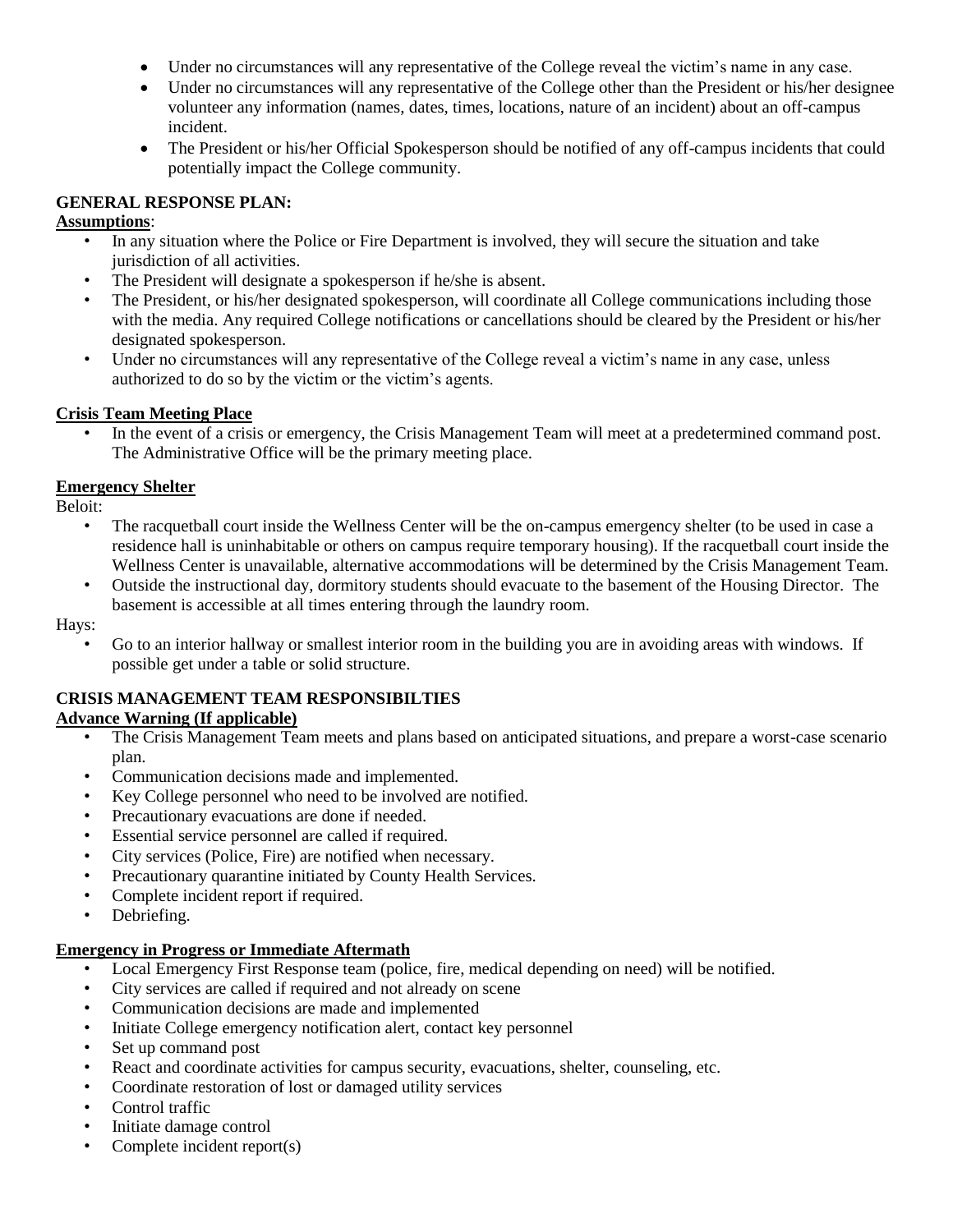- Under no circumstances will any representative of the College reveal the victim's name in any case.
- Under no circumstances will any representative of the College other than the President or his/her designee volunteer any information (names, dates, times, locations, nature of an incident) about an off-campus incident.
- The President or his/her Official Spokesperson should be notified of any off-campus incidents that could potentially impact the College community.

#### **GENERAL RESPONSE PLAN:**

#### **Assumptions**:

- In any situation where the Police or Fire Department is involved, they will secure the situation and take jurisdiction of all activities.
- The President will designate a spokesperson if he/she is absent.
- The President, or his/her designated spokesperson, will coordinate all College communications including those with the media. Any required College notifications or cancellations should be cleared by the President or his/her designated spokesperson.
- Under no circumstances will any representative of the College reveal a victim's name in any case, unless authorized to do so by the victim or the victim's agents.

#### **Crisis Team Meeting Place**

• In the event of a crisis or emergency, the Crisis Management Team will meet at a predetermined command post. The Administrative Office will be the primary meeting place.

### **Emergency Shelter**

Beloit:

- The racquetball court inside the Wellness Center will be the on-campus emergency shelter (to be used in case a residence hall is uninhabitable or others on campus require temporary housing). If the racquetball court inside the Wellness Center is unavailable, alternative accommodations will be determined by the Crisis Management Team.
- Outside the instructional day, dormitory students should evacuate to the basement of the Housing Director. The basement is accessible at all times entering through the laundry room.

Hays:

• Go to an interior hallway or smallest interior room in the building you are in avoiding areas with windows. If possible get under a table or solid structure.

### **CRISIS MANAGEMENT TEAM RESPONSIBILTIES**

### **Advance Warning (If applicable)**

- The Crisis Management Team meets and plans based on anticipated situations, and prepare a worst-case scenario plan.
- Communication decisions made and implemented.
- Key College personnel who need to be involved are notified.
- Precautionary evacuations are done if needed.
- Essential service personnel are called if required.
- City services (Police, Fire) are notified when necessary.
- Precautionary quarantine initiated by County Health Services.
- Complete incident report if required.
- Debriefing.

### **Emergency in Progress or Immediate Aftermath**

- Local Emergency First Response team (police, fire, medical depending on need) will be notified.
- City services are called if required and not already on scene
- Communication decisions are made and implemented
- Initiate College emergency notification alert, contact key personnel
- Set up command post
- React and coordinate activities for campus security, evacuations, shelter, counseling, etc.
- Coordinate restoration of lost or damaged utility services
- Control traffic
- Initiate damage control
- Complete incident report(s)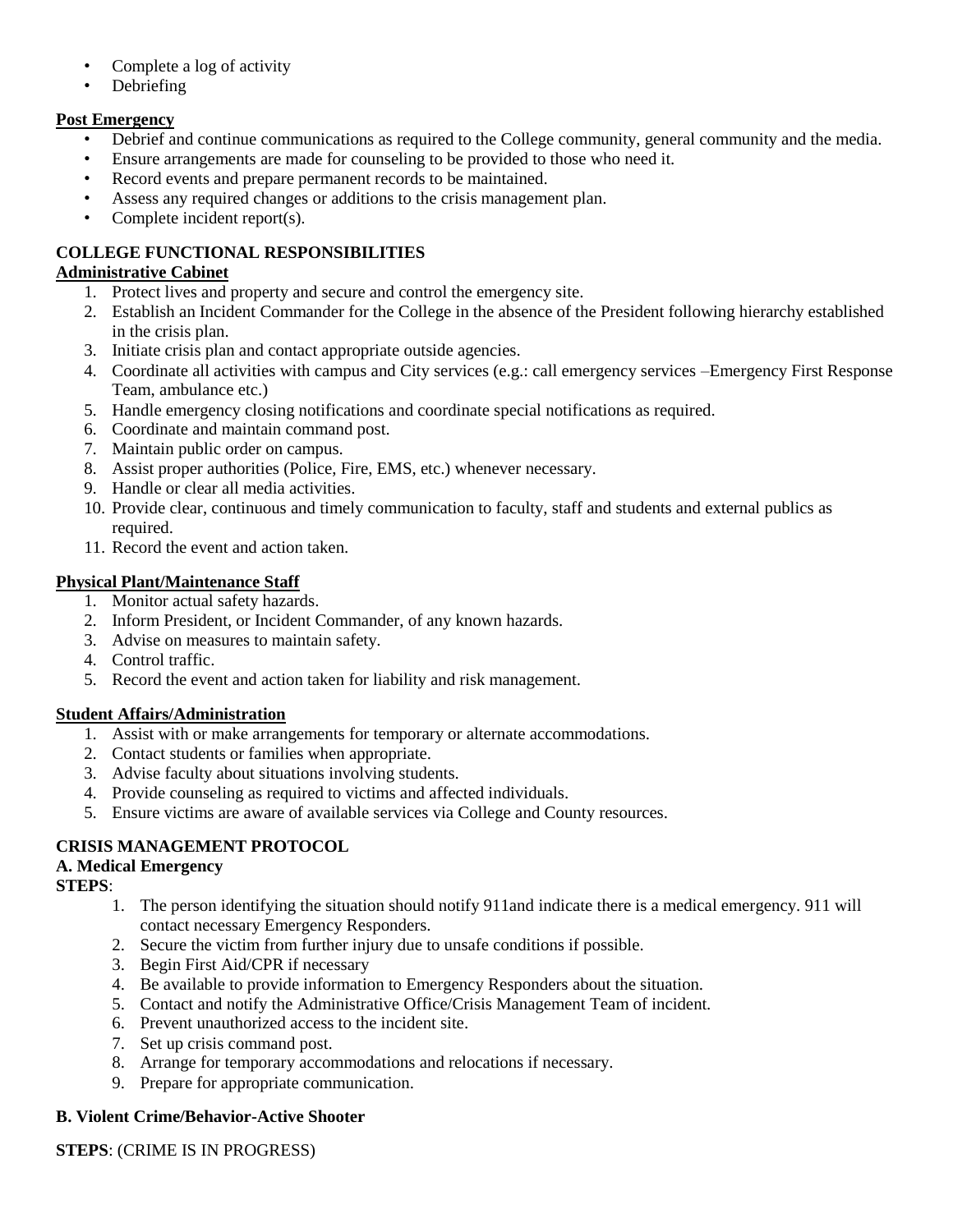- Complete a log of activity
- Debriefing

## **Post Emergency**

- Debrief and continue communications as required to the College community, general community and the media.
- Ensure arrangements are made for counseling to be provided to those who need it.
- Record events and prepare permanent records to be maintained.
- Assess any required changes or additions to the crisis management plan.
- Complete incident report(s).

## **COLLEGE FUNCTIONAL RESPONSIBILITIES**

## **Administrative Cabinet**

- 1. Protect lives and property and secure and control the emergency site.
- 2. Establish an Incident Commander for the College in the absence of the President following hierarchy established in the crisis plan.
- 3. Initiate crisis plan and contact appropriate outside agencies.
- 4. Coordinate all activities with campus and City services (e.g.: call emergency services –Emergency First Response Team, ambulance etc.)
- 5. Handle emergency closing notifications and coordinate special notifications as required.
- 6. Coordinate and maintain command post.
- 7. Maintain public order on campus.
- 8. Assist proper authorities (Police, Fire, EMS, etc.) whenever necessary.
- 9. Handle or clear all media activities.
- 10. Provide clear, continuous and timely communication to faculty, staff and students and external publics as required.
- 11. Record the event and action taken.

## **Physical Plant/Maintenance Staff**

- 1. Monitor actual safety hazards.
- 2. Inform President, or Incident Commander, of any known hazards.
- 3. Advise on measures to maintain safety.
- 4. Control traffic.
- 5. Record the event and action taken for liability and risk management.

## **Student Affairs/Administration**

- 1. Assist with or make arrangements for temporary or alternate accommodations.
- 2. Contact students or families when appropriate.
- 3. Advise faculty about situations involving students.
- 4. Provide counseling as required to victims and affected individuals.
- 5. Ensure victims are aware of available services via College and County resources.

## **CRISIS MANAGEMENT PROTOCOL**

## **A. Medical Emergency**

### **STEPS**:

- 1. The person identifying the situation should notify 911and indicate there is a medical emergency. 911 will contact necessary Emergency Responders.
- 2. Secure the victim from further injury due to unsafe conditions if possible.
- 3. Begin First Aid/CPR if necessary
- 4. Be available to provide information to Emergency Responders about the situation.
- 5. Contact and notify the Administrative Office/Crisis Management Team of incident.
- 6. Prevent unauthorized access to the incident site.
- 7. Set up crisis command post.
- 8. Arrange for temporary accommodations and relocations if necessary.
- 9. Prepare for appropriate communication.

### **B. Violent Crime/Behavior-Active Shooter**

### **STEPS**: (CRIME IS IN PROGRESS)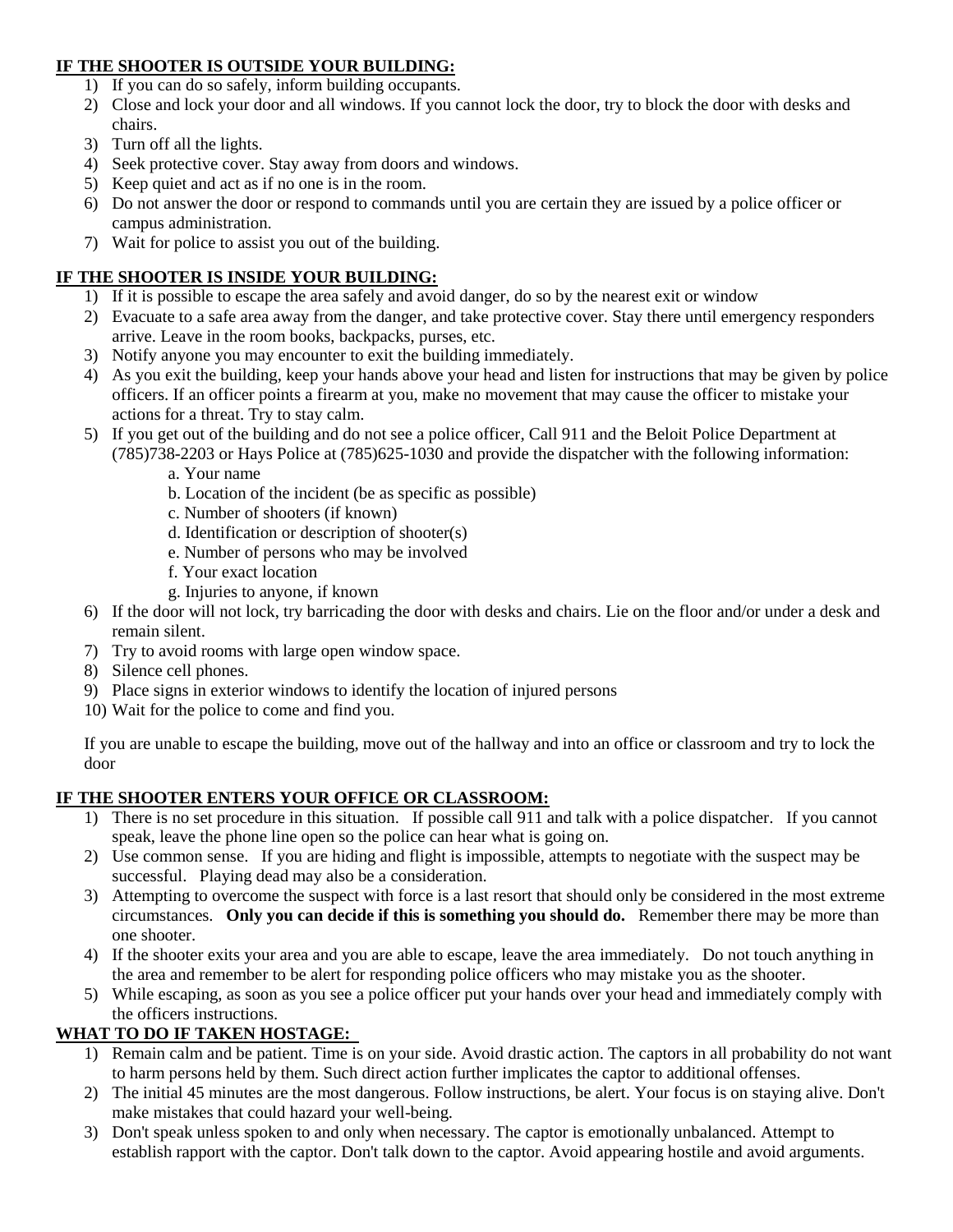### **IF THE SHOOTER IS OUTSIDE YOUR BUILDING:**

- 1) If you can do so safely, inform building occupants.
- 2) Close and lock your door and all windows. If you cannot lock the door, try to block the door with desks and chairs.
- 3) Turn off all the lights.
- 4) Seek protective cover. Stay away from doors and windows.
- 5) Keep quiet and act as if no one is in the room.
- 6) Do not answer the door or respond to commands until you are certain they are issued by a police officer or campus administration.
- 7) Wait for police to assist you out of the building.

## **IF THE SHOOTER IS INSIDE YOUR BUILDING:**

- 1) If it is possible to escape the area safely and avoid danger, do so by the nearest exit or window
- 2) Evacuate to a safe area away from the danger, and take protective cover. Stay there until emergency responders arrive. Leave in the room books, backpacks, purses, etc.
- 3) Notify anyone you may encounter to exit the building immediately.
- 4) As you exit the building, keep your hands above your head and listen for instructions that may be given by police officers. If an officer points a firearm at you, make no movement that may cause the officer to mistake your actions for a threat. Try to stay calm.
- 5) If you get out of the building and do not see a police officer, Call 911 and the Beloit Police Department at (785)738-2203 or Hays Police at (785)625-1030 and provide the dispatcher with the following information:
	- a. Your name
	- b. Location of the incident (be as specific as possible)
	- c. Number of shooters (if known)
	- d. Identification or description of shooter(s)
	- e. Number of persons who may be involved
	- f. Your exact location
	- g. Injuries to anyone, if known
- 6) If the door will not lock, try barricading the door with desks and chairs. Lie on the floor and/or under a desk and remain silent.
- 7) Try to avoid rooms with large open window space.
- 8) Silence cell phones.
- 9) Place signs in exterior windows to identify the location of injured persons
- 10) Wait for the police to come and find you.

If you are unable to escape the building, move out of the hallway and into an office or classroom and try to lock the door

### **IF THE SHOOTER ENTERS YOUR OFFICE OR CLASSROOM:**

- 1) There is no set procedure in this situation. If possible call 911 and talk with a police dispatcher. If you cannot speak, leave the phone line open so the police can hear what is going on.
- 2) Use common sense. If you are hiding and flight is impossible, attempts to negotiate with the suspect may be successful. Playing dead may also be a consideration.
- 3) Attempting to overcome the suspect with force is a last resort that should only be considered in the most extreme circumstances. **Only you can decide if this is something you should do.** Remember there may be more than one shooter.
- 4) If the shooter exits your area and you are able to escape, leave the area immediately. Do not touch anything in the area and remember to be alert for responding police officers who may mistake you as the shooter.
- 5) While escaping, as soon as you see a police officer put your hands over your head and immediately comply with the officers instructions.

## **WHAT TO DO IF TAKEN HOSTAGE:**

- 1) Remain calm and be patient. Time is on your side. Avoid drastic action. The captors in all probability do not want to harm persons held by them. Such direct action further implicates the captor to additional offenses.
- 2) The initial 45 minutes are the most dangerous. Follow instructions, be alert. Your focus is on staying alive. Don't make mistakes that could hazard your well-being.
- 3) Don't speak unless spoken to and only when necessary. The captor is emotionally unbalanced. Attempt to establish rapport with the captor. Don't talk down to the captor. Avoid appearing hostile and avoid arguments.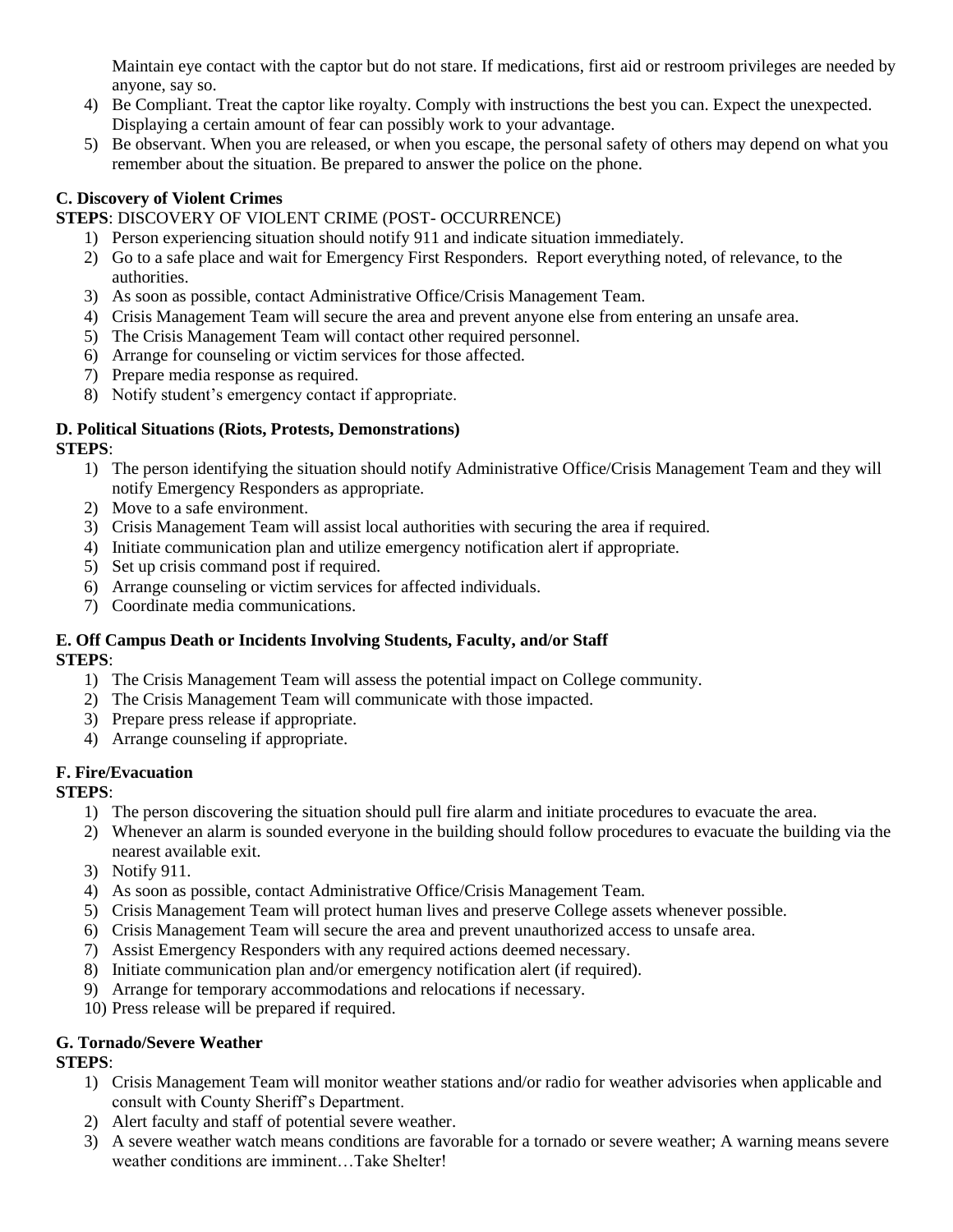Maintain eye contact with the captor but do not stare. If medications, first aid or restroom privileges are needed by anyone, say so.

- 4) Be Compliant. Treat the captor like royalty. Comply with instructions the best you can. Expect the unexpected. Displaying a certain amount of fear can possibly work to your advantage.
- 5) Be observant. When you are released, or when you escape, the personal safety of others may depend on what you remember about the situation. Be prepared to answer the police on the phone.

## **C. Discovery of Violent Crimes**

**STEPS**: DISCOVERY OF VIOLENT CRIME (POST- OCCURRENCE)

- 1) Person experiencing situation should notify 911 and indicate situation immediately.
- 2) Go to a safe place and wait for Emergency First Responders. Report everything noted, of relevance, to the authorities.
- 3) As soon as possible, contact Administrative Office/Crisis Management Team.
- 4) Crisis Management Team will secure the area and prevent anyone else from entering an unsafe area.
- 5) The Crisis Management Team will contact other required personnel.
- 6) Arrange for counseling or victim services for those affected.
- 7) Prepare media response as required.
- 8) Notify student's emergency contact if appropriate.

#### **D. Political Situations (Riots, Protests, Demonstrations) STEPS**:

- 1) The person identifying the situation should notify Administrative Office/Crisis Management Team and they will notify Emergency Responders as appropriate.
- 2) Move to a safe environment.
- 3) Crisis Management Team will assist local authorities with securing the area if required.
- 4) Initiate communication plan and utilize emergency notification alert if appropriate.
- 5) Set up crisis command post if required.
- 6) Arrange counseling or victim services for affected individuals.
- 7) Coordinate media communications.

#### **E. Off Campus Death or Incidents Involving Students, Faculty, and/or Staff STEPS**:

- 1) The Crisis Management Team will assess the potential impact on College community.
- 2) The Crisis Management Team will communicate with those impacted.
- 3) Prepare press release if appropriate.
- 4) Arrange counseling if appropriate.

### **F. Fire/Evacuation**

### **STEPS**:

- 1) The person discovering the situation should pull fire alarm and initiate procedures to evacuate the area.
- 2) Whenever an alarm is sounded everyone in the building should follow procedures to evacuate the building via the nearest available exit.
- 3) Notify 911.
- 4) As soon as possible, contact Administrative Office/Crisis Management Team.
- 5) Crisis Management Team will protect human lives and preserve College assets whenever possible.
- 6) Crisis Management Team will secure the area and prevent unauthorized access to unsafe area.
- 7) Assist Emergency Responders with any required actions deemed necessary.
- 8) Initiate communication plan and/or emergency notification alert (if required).
- 9) Arrange for temporary accommodations and relocations if necessary.
- 10) Press release will be prepared if required.

### **G. Tornado/Severe Weather**

### **STEPS**:

- 1) Crisis Management Team will monitor weather stations and/or radio for weather advisories when applicable and consult with County Sheriff's Department.
- 2) Alert faculty and staff of potential severe weather.
- 3) A severe weather watch means conditions are favorable for a tornado or severe weather; A warning means severe weather conditions are imminent…Take Shelter!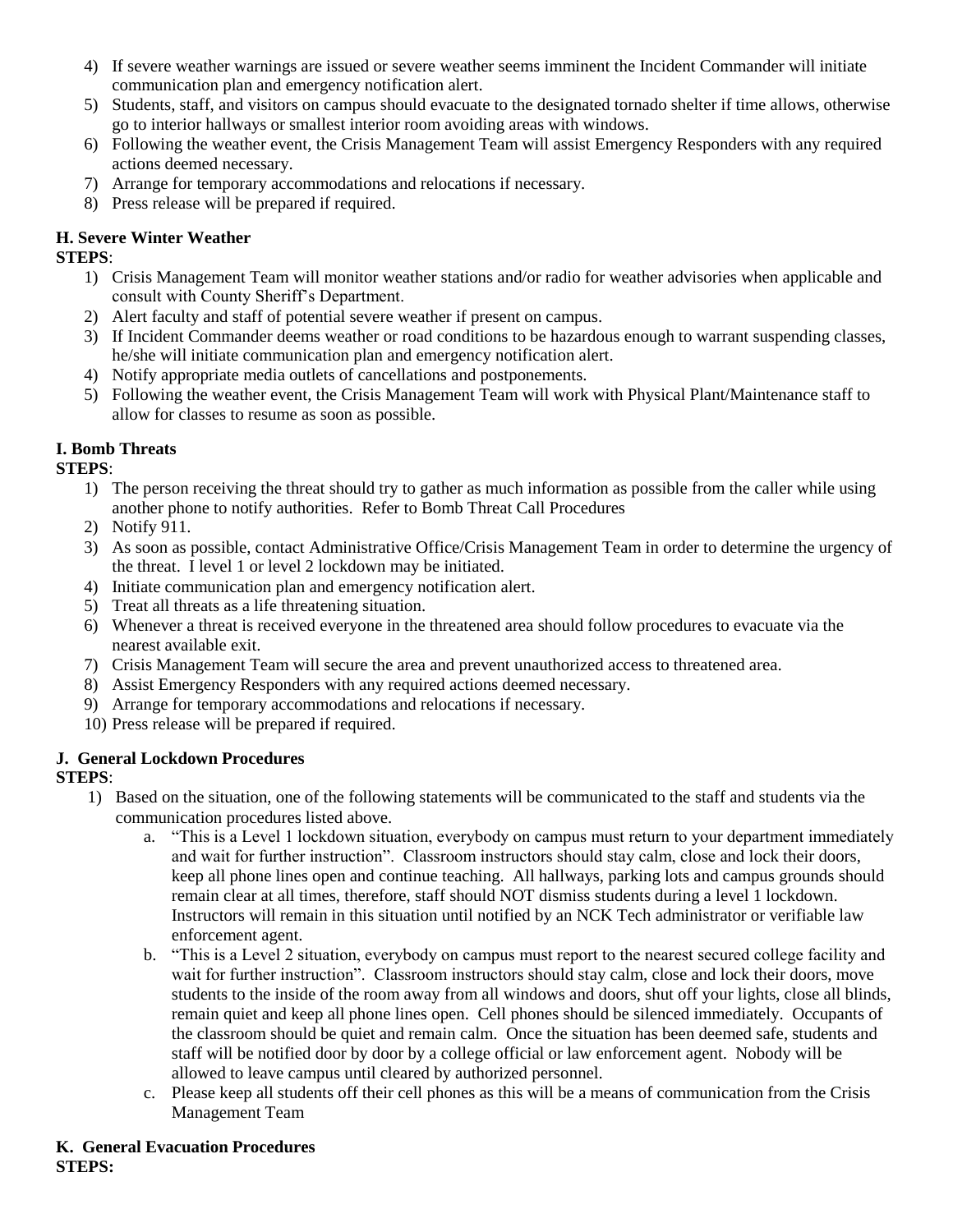- 4) If severe weather warnings are issued or severe weather seems imminent the Incident Commander will initiate communication plan and emergency notification alert.
- 5) Students, staff, and visitors on campus should evacuate to the designated tornado shelter if time allows, otherwise go to interior hallways or smallest interior room avoiding areas with windows.
- 6) Following the weather event, the Crisis Management Team will assist Emergency Responders with any required actions deemed necessary.
- 7) Arrange for temporary accommodations and relocations if necessary.
- 8) Press release will be prepared if required.

## **H. Severe Winter Weather**

## **STEPS**:

- 1) Crisis Management Team will monitor weather stations and/or radio for weather advisories when applicable and consult with County Sheriff's Department.
- 2) Alert faculty and staff of potential severe weather if present on campus.
- 3) If Incident Commander deems weather or road conditions to be hazardous enough to warrant suspending classes, he/she will initiate communication plan and emergency notification alert.
- 4) Notify appropriate media outlets of cancellations and postponements.
- 5) Following the weather event, the Crisis Management Team will work with Physical Plant/Maintenance staff to allow for classes to resume as soon as possible.

## **I. Bomb Threats**

## **STEPS**:

- 1) The person receiving the threat should try to gather as much information as possible from the caller while using another phone to notify authorities. Refer to Bomb Threat Call Procedures
- 2) Notify 911.
- 3) As soon as possible, contact Administrative Office/Crisis Management Team in order to determine the urgency of the threat. I level 1 or level 2 lockdown may be initiated.
- 4) Initiate communication plan and emergency notification alert.
- 5) Treat all threats as a life threatening situation.
- 6) Whenever a threat is received everyone in the threatened area should follow procedures to evacuate via the nearest available exit.
- 7) Crisis Management Team will secure the area and prevent unauthorized access to threatened area.
- 8) Assist Emergency Responders with any required actions deemed necessary.
- 9) Arrange for temporary accommodations and relocations if necessary.
- 10) Press release will be prepared if required.

## **J. General Lockdown Procedures**

## **STEPS**:

- 1) Based on the situation, one of the following statements will be communicated to the staff and students via the communication procedures listed above.
	- a. "This is a Level 1 lockdown situation, everybody on campus must return to your department immediately and wait for further instruction". Classroom instructors should stay calm, close and lock their doors, keep all phone lines open and continue teaching. All hallways, parking lots and campus grounds should remain clear at all times, therefore, staff should NOT dismiss students during a level 1 lockdown. Instructors will remain in this situation until notified by an NCK Tech administrator or verifiable law enforcement agent.
	- b. "This is a Level 2 situation, everybody on campus must report to the nearest secured college facility and wait for further instruction". Classroom instructors should stay calm, close and lock their doors, move students to the inside of the room away from all windows and doors, shut off your lights, close all blinds, remain quiet and keep all phone lines open. Cell phones should be silenced immediately. Occupants of the classroom should be quiet and remain calm. Once the situation has been deemed safe, students and staff will be notified door by door by a college official or law enforcement agent. Nobody will be allowed to leave campus until cleared by authorized personnel.
	- c. Please keep all students off their cell phones as this will be a means of communication from the Crisis Management Team

### **K. General Evacuation Procedures STEPS:**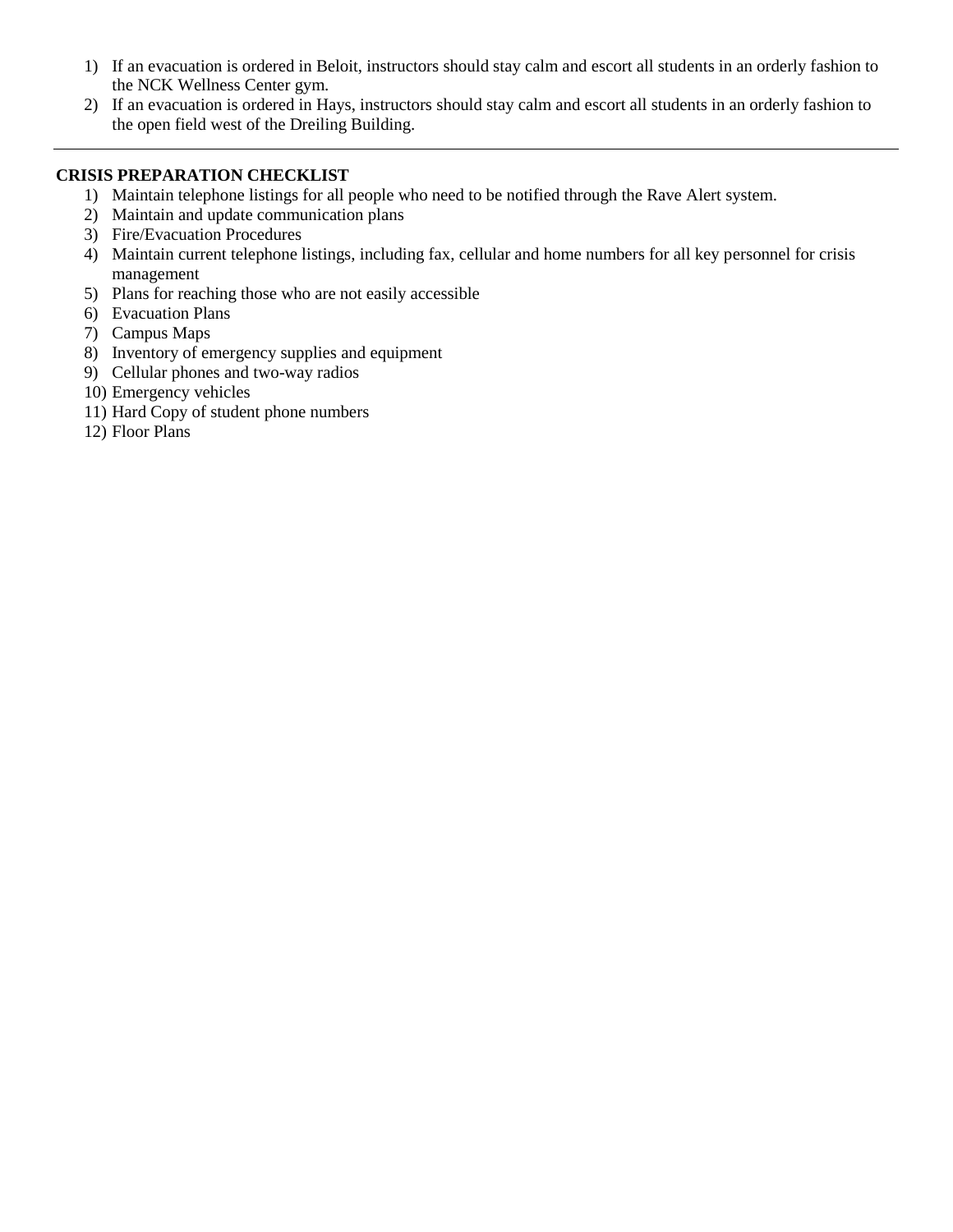- 1) If an evacuation is ordered in Beloit, instructors should stay calm and escort all students in an orderly fashion to the NCK Wellness Center gym.
- 2) If an evacuation is ordered in Hays, instructors should stay calm and escort all students in an orderly fashion to the open field west of the Dreiling Building.

#### **CRISIS PREPARATION CHECKLIST**

- 1) Maintain telephone listings for all people who need to be notified through the Rave Alert system.
- 2) Maintain and update communication plans
- 3) Fire/Evacuation Procedures
- 4) Maintain current telephone listings, including fax, cellular and home numbers for all key personnel for crisis management
- 5) Plans for reaching those who are not easily accessible
- 6) Evacuation Plans
- 7) Campus Maps
- 8) Inventory of emergency supplies and equipment
- 9) Cellular phones and two-way radios
- 10) Emergency vehicles
- 11) Hard Copy of student phone numbers
- 12) Floor Plans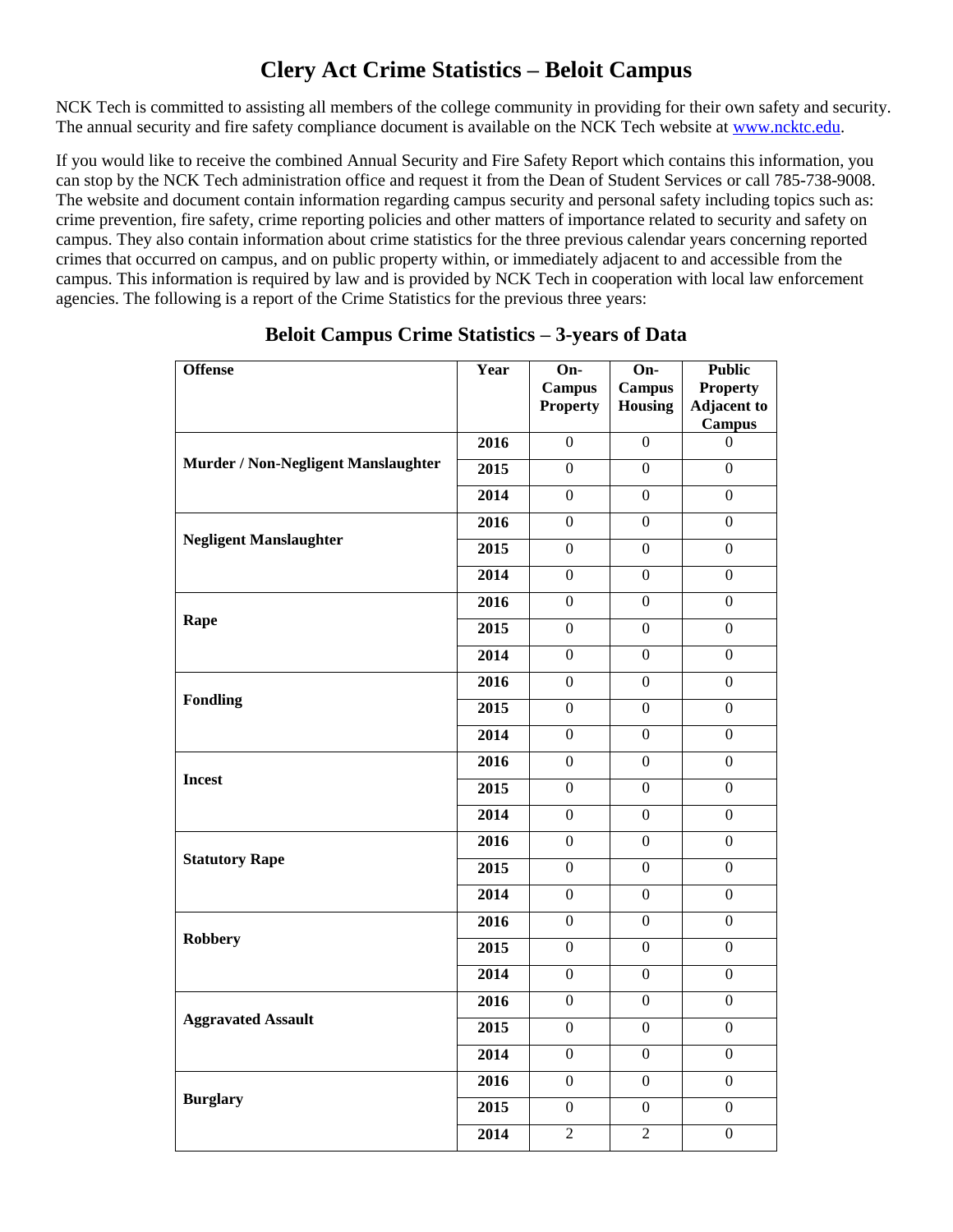# **Clery Act Crime Statistics – Beloit Campus**

NCK Tech is committed to assisting all members of the college community in providing for their own safety and security. The annual security and fire safety compliance document is available on the NCK Tech website at [www.ncktc.edu.](http://www.ncktc.edu/)

If you would like to receive the combined Annual Security and Fire Safety Report which contains this information, you can stop by the NCK Tech administration office and request it from the Dean of Student Services or call 785-738-9008. The website and document contain information regarding campus security and personal safety including topics such as: crime prevention, fire safety, crime reporting policies and other matters of importance related to security and safety on campus. They also contain information about crime statistics for the three previous calendar years concerning reported crimes that occurred on campus, and on public property within, or immediately adjacent to and accessible from the campus. This information is required by law and is provided by NCK Tech in cooperation with local law enforcement agencies. The following is a report of the Crime Statistics for the previous three years:

| <b>Offense</b>                      | $\overline{Y}$ ear                                                                                                                                                                                                                                                                                                                                                                                                                                                                                                                                                                                                                                                                                                                                                                                                                                                                                                   | On-<br><b>Campus</b><br><b>Property</b> | On-<br><b>Campus</b><br><b>Housing</b>            | <b>Public</b><br><b>Property</b><br><b>Adjacent to</b><br><b>Campus</b> |
|-------------------------------------|----------------------------------------------------------------------------------------------------------------------------------------------------------------------------------------------------------------------------------------------------------------------------------------------------------------------------------------------------------------------------------------------------------------------------------------------------------------------------------------------------------------------------------------------------------------------------------------------------------------------------------------------------------------------------------------------------------------------------------------------------------------------------------------------------------------------------------------------------------------------------------------------------------------------|-----------------------------------------|---------------------------------------------------|-------------------------------------------------------------------------|
|                                     | 2016                                                                                                                                                                                                                                                                                                                                                                                                                                                                                                                                                                                                                                                                                                                                                                                                                                                                                                                 | $\overline{0}$                          | $\mathbf{0}$                                      | $\Omega$                                                                |
| Murder / Non-Negligent Manslaughter | 2015                                                                                                                                                                                                                                                                                                                                                                                                                                                                                                                                                                                                                                                                                                                                                                                                                                                                                                                 | $\overline{0}$                          | $\boldsymbol{0}$                                  | $\overline{0}$                                                          |
|                                     | 2014                                                                                                                                                                                                                                                                                                                                                                                                                                                                                                                                                                                                                                                                                                                                                                                                                                                                                                                 | 0                                       | $\overline{0}$                                    | $\overline{0}$                                                          |
|                                     | 2016<br>$\overline{0}$<br>$\overline{0}$<br>2015<br>$\overline{0}$<br>$\overline{0}$<br>2014<br>$\overline{0}$<br>$\boldsymbol{0}$<br>2016<br>$\overline{0}$<br>$\boldsymbol{0}$<br>$\overline{0}$<br>2015<br>$\boldsymbol{0}$<br>2014<br>$\overline{0}$<br>$\mathbf{0}$<br>$\overline{0}$<br>2016<br>$\boldsymbol{0}$<br>2015<br>$\overline{0}$<br>$\boldsymbol{0}$<br>$\overline{0}$<br>2014<br>$\boldsymbol{0}$<br>$\overline{0}$<br>2016<br>$\boldsymbol{0}$<br>2015<br>$\overline{0}$<br>$\boldsymbol{0}$<br>$\overline{0}$<br>$\boldsymbol{0}$<br>2014<br>2016<br>$\overline{0}$<br>$\boldsymbol{0}$<br>2015<br>$\overline{0}$<br>$\boldsymbol{0}$<br>2014<br>$\boldsymbol{0}$<br>$\boldsymbol{0}$<br>2016<br>$\boldsymbol{0}$<br>$\boldsymbol{0}$<br>2015<br>$\Omega$<br>$\Omega$<br>2014<br>$\overline{0}$<br>$\overline{0}$<br>2016<br>$\boldsymbol{0}$<br>$\boldsymbol{0}$<br>2015<br>$\Omega$<br>$\Omega$ |                                         | $\boldsymbol{0}$                                  |                                                                         |
| <b>Negligent Manslaughter</b>       |                                                                                                                                                                                                                                                                                                                                                                                                                                                                                                                                                                                                                                                                                                                                                                                                                                                                                                                      |                                         |                                                   | $\overline{0}$                                                          |
|                                     |                                                                                                                                                                                                                                                                                                                                                                                                                                                                                                                                                                                                                                                                                                                                                                                                                                                                                                                      |                                         |                                                   | $\overline{0}$                                                          |
|                                     |                                                                                                                                                                                                                                                                                                                                                                                                                                                                                                                                                                                                                                                                                                                                                                                                                                                                                                                      |                                         |                                                   | $\overline{0}$                                                          |
| Rape                                |                                                                                                                                                                                                                                                                                                                                                                                                                                                                                                                                                                                                                                                                                                                                                                                                                                                                                                                      |                                         |                                                   | $\overline{0}$                                                          |
|                                     |                                                                                                                                                                                                                                                                                                                                                                                                                                                                                                                                                                                                                                                                                                                                                                                                                                                                                                                      |                                         |                                                   | $\overline{0}$                                                          |
|                                     |                                                                                                                                                                                                                                                                                                                                                                                                                                                                                                                                                                                                                                                                                                                                                                                                                                                                                                                      |                                         |                                                   | $\overline{0}$                                                          |
| <b>Fondling</b>                     |                                                                                                                                                                                                                                                                                                                                                                                                                                                                                                                                                                                                                                                                                                                                                                                                                                                                                                                      |                                         |                                                   | $\overline{0}$                                                          |
|                                     |                                                                                                                                                                                                                                                                                                                                                                                                                                                                                                                                                                                                                                                                                                                                                                                                                                                                                                                      |                                         |                                                   | $\overline{0}$                                                          |
|                                     |                                                                                                                                                                                                                                                                                                                                                                                                                                                                                                                                                                                                                                                                                                                                                                                                                                                                                                                      |                                         |                                                   | $\overline{0}$                                                          |
| <b>Incest</b>                       |                                                                                                                                                                                                                                                                                                                                                                                                                                                                                                                                                                                                                                                                                                                                                                                                                                                                                                                      |                                         |                                                   | $\overline{0}$                                                          |
|                                     |                                                                                                                                                                                                                                                                                                                                                                                                                                                                                                                                                                                                                                                                                                                                                                                                                                                                                                                      |                                         |                                                   | $\boldsymbol{0}$                                                        |
|                                     |                                                                                                                                                                                                                                                                                                                                                                                                                                                                                                                                                                                                                                                                                                                                                                                                                                                                                                                      |                                         |                                                   | $\overline{0}$                                                          |
| <b>Statutory Rape</b>               |                                                                                                                                                                                                                                                                                                                                                                                                                                                                                                                                                                                                                                                                                                                                                                                                                                                                                                                      |                                         | $\Omega$<br>$\overline{0}$<br>$\overline{0}$<br>2 | $\overline{0}$                                                          |
|                                     | 2014<br>$\Omega$<br>2016<br>$\Omega$<br>2015<br>$\overline{0}$<br>2014<br>$\overline{2}$                                                                                                                                                                                                                                                                                                                                                                                                                                                                                                                                                                                                                                                                                                                                                                                                                             | $\boldsymbol{0}$                        |                                                   |                                                                         |
|                                     |                                                                                                                                                                                                                                                                                                                                                                                                                                                                                                                                                                                                                                                                                                                                                                                                                                                                                                                      |                                         |                                                   | $\overline{0}$                                                          |
| <b>Robbery</b>                      |                                                                                                                                                                                                                                                                                                                                                                                                                                                                                                                                                                                                                                                                                                                                                                                                                                                                                                                      |                                         |                                                   | $\Omega$                                                                |
|                                     |                                                                                                                                                                                                                                                                                                                                                                                                                                                                                                                                                                                                                                                                                                                                                                                                                                                                                                                      |                                         |                                                   | $\overline{0}$                                                          |
|                                     |                                                                                                                                                                                                                                                                                                                                                                                                                                                                                                                                                                                                                                                                                                                                                                                                                                                                                                                      |                                         |                                                   | $\boldsymbol{0}$                                                        |
| <b>Aggravated Assault</b>           |                                                                                                                                                                                                                                                                                                                                                                                                                                                                                                                                                                                                                                                                                                                                                                                                                                                                                                                      |                                         |                                                   | $\overline{0}$                                                          |
|                                     |                                                                                                                                                                                                                                                                                                                                                                                                                                                                                                                                                                                                                                                                                                                                                                                                                                                                                                                      |                                         |                                                   | $\Omega$                                                                |
|                                     |                                                                                                                                                                                                                                                                                                                                                                                                                                                                                                                                                                                                                                                                                                                                                                                                                                                                                                                      |                                         |                                                   | $\Omega$                                                                |
| <b>Burglary</b>                     |                                                                                                                                                                                                                                                                                                                                                                                                                                                                                                                                                                                                                                                                                                                                                                                                                                                                                                                      |                                         |                                                   | $\boldsymbol{0}$                                                        |
|                                     |                                                                                                                                                                                                                                                                                                                                                                                                                                                                                                                                                                                                                                                                                                                                                                                                                                                                                                                      |                                         |                                                   | $\overline{0}$                                                          |

## **Beloit Campus Crime Statistics – 3-years of Data**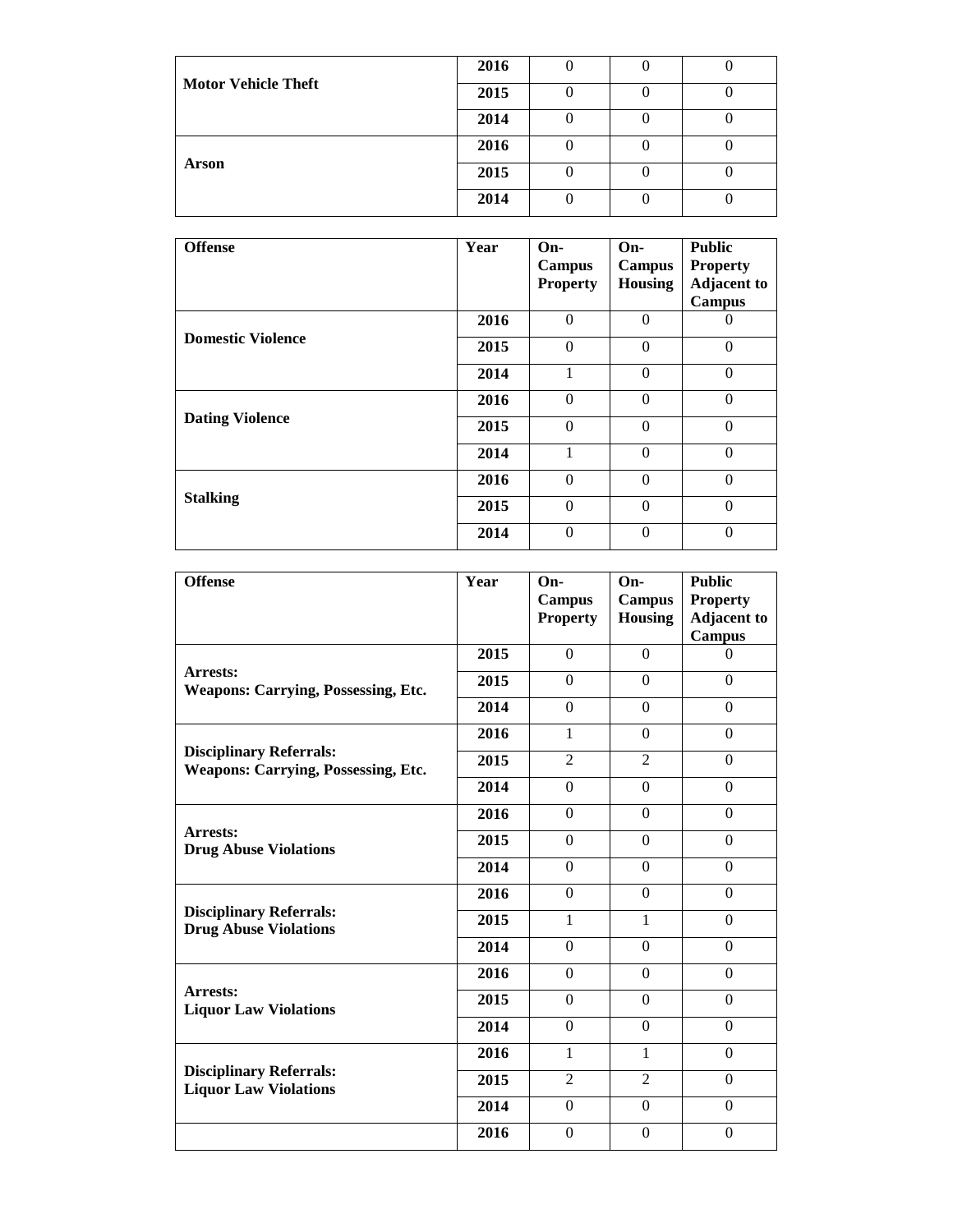|                            | 2016 |  |  |
|----------------------------|------|--|--|
| <b>Motor Vehicle Theft</b> | 2015 |  |  |
|                            | 2014 |  |  |
|                            | 2016 |  |  |
| Arson                      | 2015 |  |  |
|                            | 2014 |  |  |

| <b>Offense</b>                                                        | Year | $On-$<br>Campus<br><b>Property</b> | On-<br>Campus<br><b>Housing</b> | <b>Public</b><br><b>Property</b><br><b>Adjacent to</b><br><b>Campus</b> |
|-----------------------------------------------------------------------|------|------------------------------------|---------------------------------|-------------------------------------------------------------------------|
|                                                                       | 2016 | $\Omega$                           | $\Omega$                        | 0                                                                       |
|                                                                       | 2015 | $\Omega$                           | $\Omega$                        | $\Omega$                                                                |
|                                                                       | 2014 |                                    | $\mathbf{0}$                    | $\theta$                                                                |
|                                                                       | 2016 | $\theta$                           | $\mathbf{0}$                    | $\theta$                                                                |
| <b>Domestic Violence</b><br><b>Dating Violence</b><br><b>Stalking</b> | 2015 | $\Omega$                           | $\mathbf{0}$                    | $\Omega$                                                                |
|                                                                       | 2014 |                                    | $\Omega$                        | $\Omega$                                                                |
|                                                                       | 2016 | $\theta$                           | $\Omega$                        | $\Omega$                                                                |
|                                                                       | 2015 | $\theta$                           | $\Omega$                        | $\Omega$                                                                |
|                                                                       | 2014 | $\theta$                           | $\mathbf{0}$                    | $\theta$                                                                |

| <b>Offense</b>                                                               | Year                                                                                                                                                                                                                                                                                                                                                                                                                                                                                                                                                                                                      | $On-$<br><b>Campus</b><br><b>Property</b> | $On-$<br><b>Campus</b><br><b>Housing</b> | <b>Public</b><br><b>Property</b><br><b>Adjacent to</b><br><b>Campus</b> |
|------------------------------------------------------------------------------|-----------------------------------------------------------------------------------------------------------------------------------------------------------------------------------------------------------------------------------------------------------------------------------------------------------------------------------------------------------------------------------------------------------------------------------------------------------------------------------------------------------------------------------------------------------------------------------------------------------|-------------------------------------------|------------------------------------------|-------------------------------------------------------------------------|
|                                                                              | 2015                                                                                                                                                                                                                                                                                                                                                                                                                                                                                                                                                                                                      | $\Omega$                                  | $\Omega$                                 | $\Omega$                                                                |
| <b>Arrests:</b><br><b>Weapons: Carrying, Possessing, Etc.</b>                | 2015                                                                                                                                                                                                                                                                                                                                                                                                                                                                                                                                                                                                      | $\Omega$                                  | $\Omega$                                 | $\Omega$                                                                |
|                                                                              | 2014<br>$\Omega$<br>$\Omega$<br>2016<br>$\theta$<br>1<br>$\overline{2}$<br>$\overline{2}$<br>2015<br>2014<br>$\Omega$<br>$\Omega$<br>2016<br>$\Omega$<br>$\theta$<br>2015<br>$\Omega$<br>$\Omega$<br>2014<br>$\Omega$<br>$\Omega$<br>$\Omega$<br>$\Omega$<br>2016<br>$\mathbf{1}$<br>2015<br>$\mathbf{1}$<br>$\Omega$<br>$\Omega$<br>2014<br>$\Omega$<br>$\Omega$<br>2016<br>2015<br>$\Omega$<br>$\mathbf{0}$<br>2014<br>$\Omega$<br>$\Omega$<br>2016<br>$\mathbf{1}$<br>$\mathbf{1}$<br>$\overline{2}$<br>2015<br>$\overline{2}$<br>$\Omega$<br>2014<br>$\boldsymbol{0}$<br>2016<br>$\Omega$<br>$\theta$ | $\Omega$                                  |                                          |                                                                         |
|                                                                              |                                                                                                                                                                                                                                                                                                                                                                                                                                                                                                                                                                                                           |                                           |                                          | $\Omega$                                                                |
| <b>Disciplinary Referrals:</b><br><b>Weapons: Carrying, Possessing, Etc.</b> |                                                                                                                                                                                                                                                                                                                                                                                                                                                                                                                                                                                                           |                                           |                                          | $\Omega$                                                                |
|                                                                              |                                                                                                                                                                                                                                                                                                                                                                                                                                                                                                                                                                                                           |                                           |                                          | $\Omega$                                                                |
|                                                                              |                                                                                                                                                                                                                                                                                                                                                                                                                                                                                                                                                                                                           |                                           |                                          | $\Omega$                                                                |
| <b>Arrests:</b><br><b>Drug Abuse Violations</b>                              |                                                                                                                                                                                                                                                                                                                                                                                                                                                                                                                                                                                                           |                                           |                                          | $\Omega$                                                                |
|                                                                              |                                                                                                                                                                                                                                                                                                                                                                                                                                                                                                                                                                                                           |                                           |                                          | $\Omega$                                                                |
|                                                                              |                                                                                                                                                                                                                                                                                                                                                                                                                                                                                                                                                                                                           |                                           |                                          | $\Omega$                                                                |
| <b>Disciplinary Referrals:</b><br><b>Drug Abuse Violations</b>               |                                                                                                                                                                                                                                                                                                                                                                                                                                                                                                                                                                                                           |                                           |                                          | $\Omega$                                                                |
|                                                                              | $\Omega$<br>$\Omega$<br>$\Omega$<br>$\Omega$<br>$\Omega$<br>$\Omega$<br>$\Omega$                                                                                                                                                                                                                                                                                                                                                                                                                                                                                                                          |                                           |                                          |                                                                         |
|                                                                              |                                                                                                                                                                                                                                                                                                                                                                                                                                                                                                                                                                                                           |                                           |                                          | $\Omega$                                                                |
| Arrests:<br><b>Liquor Law Violations</b>                                     |                                                                                                                                                                                                                                                                                                                                                                                                                                                                                                                                                                                                           |                                           |                                          |                                                                         |
|                                                                              |                                                                                                                                                                                                                                                                                                                                                                                                                                                                                                                                                                                                           |                                           |                                          |                                                                         |
|                                                                              |                                                                                                                                                                                                                                                                                                                                                                                                                                                                                                                                                                                                           |                                           |                                          |                                                                         |
| <b>Disciplinary Referrals:</b><br><b>Liquor Law Violations</b>               |                                                                                                                                                                                                                                                                                                                                                                                                                                                                                                                                                                                                           |                                           |                                          |                                                                         |
|                                                                              |                                                                                                                                                                                                                                                                                                                                                                                                                                                                                                                                                                                                           |                                           |                                          |                                                                         |
|                                                                              |                                                                                                                                                                                                                                                                                                                                                                                                                                                                                                                                                                                                           |                                           |                                          |                                                                         |